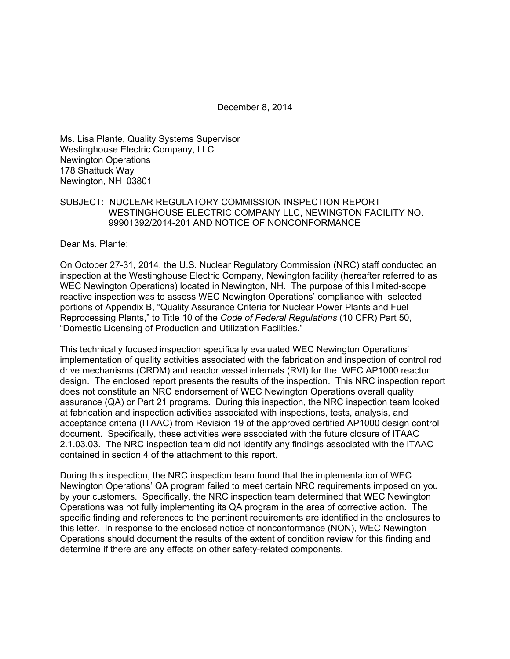December 8, 2014

Ms. Lisa Plante, Quality Systems Supervisor Westinghouse Electric Company, LLC Newington Operations 178 Shattuck Way Newington, NH 03801

### SUBJECT: NUCLEAR REGULATORY COMMISSION INSPECTION REPORT WESTINGHOUSE ELECTRIC COMPANY LLC, NEWINGTON FACILITY NO. 99901392/2014-201 AND NOTICE OF NONCONFORMANCE

Dear Ms. Plante:

On October 27-31, 2014, the U.S. Nuclear Regulatory Commission (NRC) staff conducted an inspection at the Westinghouse Electric Company, Newington facility (hereafter referred to as WEC Newington Operations) located in Newington, NH. The purpose of this limited-scope reactive inspection was to assess WEC Newington Operations' compliance with selected portions of Appendix B, "Quality Assurance Criteria for Nuclear Power Plants and Fuel Reprocessing Plants," to Title 10 of the *Code of Federal Regulations* (10 CFR) Part 50, "Domestic Licensing of Production and Utilization Facilities."

This technically focused inspection specifically evaluated WEC Newington Operations' implementation of quality activities associated with the fabrication and inspection of control rod drive mechanisms (CRDM) and reactor vessel internals (RVI) for the WEC AP1000 reactor design. The enclosed report presents the results of the inspection. This NRC inspection report does not constitute an NRC endorsement of WEC Newington Operations overall quality assurance (QA) or Part 21 programs. During this inspection, the NRC inspection team looked at fabrication and inspection activities associated with inspections, tests, analysis, and acceptance criteria (ITAAC) from Revision 19 of the approved certified AP1000 design control document. Specifically, these activities were associated with the future closure of ITAAC 2.1.03.03. The NRC inspection team did not identify any findings associated with the ITAAC contained in section 4 of the attachment to this report.

During this inspection, the NRC inspection team found that the implementation of WEC Newington Operations' QA program failed to meet certain NRC requirements imposed on you by your customers. Specifically, the NRC inspection team determined that WEC Newington Operations was not fully implementing its QA program in the area of corrective action. The specific finding and references to the pertinent requirements are identified in the enclosures to this letter. In response to the enclosed notice of nonconformance (NON), WEC Newington Operations should document the results of the extent of condition review for this finding and determine if there are any effects on other safety-related components.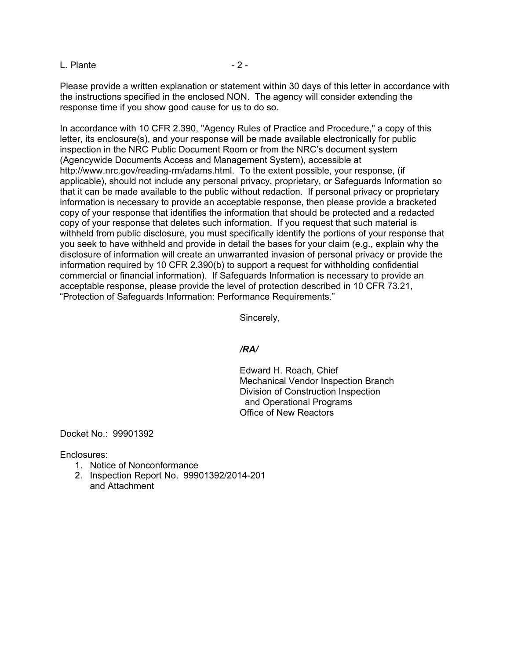L. Plante - 2 -

Please provide a written explanation or statement within 30 days of this letter in accordance with the instructions specified in the enclosed NON. The agency will consider extending the response time if you show good cause for us to do so.

In accordance with 10 CFR 2.390, "Agency Rules of Practice and Procedure," a copy of this letter, its enclosure(s), and your response will be made available electronically for public inspection in the NRC Public Document Room or from the NRC's document system (Agencywide Documents Access and Management System), accessible at http://www.nrc.gov/reading-rm/adams.html. To the extent possible, your response, (if applicable), should not include any personal privacy, proprietary, or Safeguards Information so that it can be made available to the public without redaction. If personal privacy or proprietary information is necessary to provide an acceptable response, then please provide a bracketed copy of your response that identifies the information that should be protected and a redacted copy of your response that deletes such information. If you request that such material is withheld from public disclosure, you must specifically identify the portions of your response that you seek to have withheld and provide in detail the bases for your claim (e.g., explain why the disclosure of information will create an unwarranted invasion of personal privacy or provide the information required by 10 CFR 2.390(b) to support a request for withholding confidential commercial or financial information). If Safeguards Information is necessary to provide an acceptable response, please provide the level of protection described in 10 CFR 73.21, "Protection of Safeguards Information: Performance Requirements."

Sincerely,

#### */RA/*

Edward H. Roach, Chief Mechanical Vendor Inspection Branch Division of Construction Inspection and Operational Programs Office of New Reactors

Docket No.: 99901392

Enclosures:

- 1. Notice of Nonconformance
- 2. Inspection Report No. 99901392/2014-201 and Attachment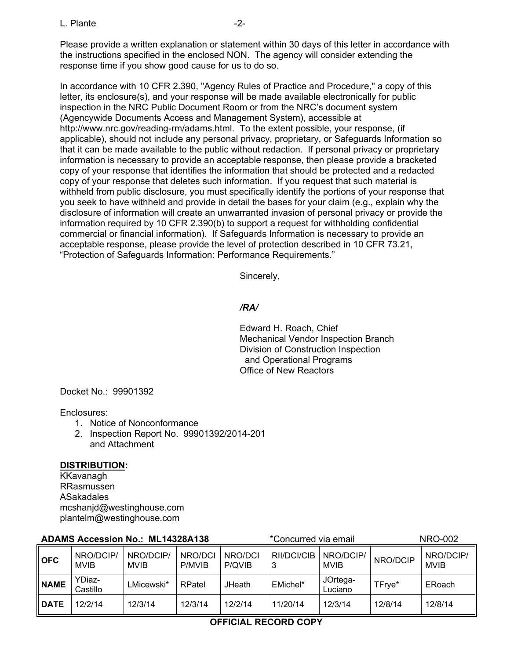L. Plante -2-

Please provide a written explanation or statement within 30 days of this letter in accordance with the instructions specified in the enclosed NON. The agency will consider extending the response time if you show good cause for us to do so.

In accordance with 10 CFR 2.390, "Agency Rules of Practice and Procedure," a copy of this letter, its enclosure(s), and your response will be made available electronically for public inspection in the NRC Public Document Room or from the NRC's document system (Agencywide Documents Access and Management System), accessible at http://www.nrc.gov/reading-rm/adams.html. To the extent possible, your response, (if applicable), should not include any personal privacy, proprietary, or Safeguards Information so that it can be made available to the public without redaction. If personal privacy or proprietary information is necessary to provide an acceptable response, then please provide a bracketed copy of your response that identifies the information that should be protected and a redacted copy of your response that deletes such information. If you request that such material is withheld from public disclosure, you must specifically identify the portions of your response that you seek to have withheld and provide in detail the bases for your claim (e.g., explain why the disclosure of information will create an unwarranted invasion of personal privacy or provide the information required by 10 CFR 2.390(b) to support a request for withholding confidential commercial or financial information). If Safeguards Information is necessary to provide an acceptable response, please provide the level of protection described in 10 CFR 73.21, "Protection of Safeguards Information: Performance Requirements."

Sincerely,

# */RA/*

Edward H. Roach, Chief Mechanical Vendor Inspection Branch Division of Construction Inspection and Operational Programs Office of New Reactors

Docket No.: 99901392

Enclosures:

- 1. Notice of Nonconformance
- 2. Inspection Report No. 99901392/2014-201 and Attachment

# **DISTRIBUTION:**

KKavanagh RRasmussen ASakadales mcshanjd@westinghouse.com plantelm@westinghouse.com

| <b>ADAMS Accession No.: ML14328A138</b> |                          |                          |                   | *Concurred via email |                  |                          | <b>NRO-002</b> |                          |
|-----------------------------------------|--------------------------|--------------------------|-------------------|----------------------|------------------|--------------------------|----------------|--------------------------|
| <b>OFC</b>                              | NRO/DCIP/<br><b>MVIB</b> | NRO/DCIP/<br><b>MVIB</b> | NRO/DCI<br>P/MVIB | NRO/DCI<br>P/QVIB    | RII/DCI/CIB<br>3 | NRO/DCIP/<br><b>MVIB</b> | NRO/DCIP       | NRO/DCIP/<br><b>MVIB</b> |
| <b>NAME</b>                             | YDiaz-<br>Castillo       | LMicewski*               | RPatel            | <b>JHeath</b>        | EMichel*         | JOrtega-<br>Luciano      | TFrye*         | ERoach                   |
| l DATE                                  | 12/2/14                  | 12/3/14                  | 12/3/14           | 12/2/14              | 11/20/14         | 12/3/14                  | 12/8/14        | 12/8/14                  |

# **OFFICIAL RECORD COPY**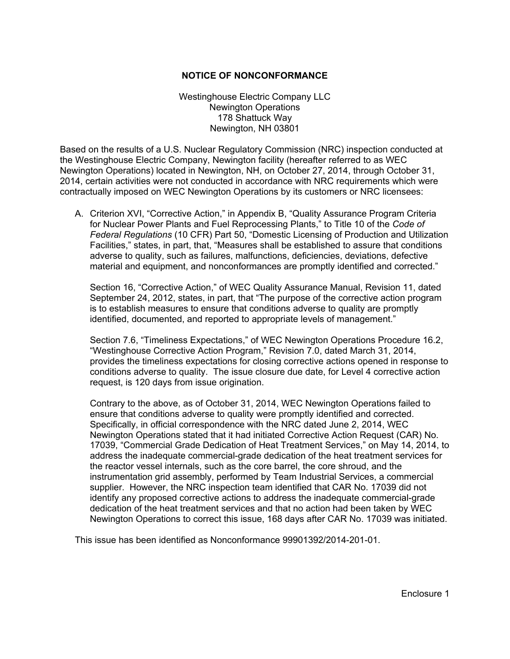#### **NOTICE OF NONCONFORMANCE**

Westinghouse Electric Company LLC Newington Operations 178 Shattuck Way Newington, NH 03801

Based on the results of a U.S. Nuclear Regulatory Commission (NRC) inspection conducted at the Westinghouse Electric Company, Newington facility (hereafter referred to as WEC Newington Operations) located in Newington, NH, on October 27, 2014, through October 31, 2014, certain activities were not conducted in accordance with NRC requirements which were contractually imposed on WEC Newington Operations by its customers or NRC licensees:

A. Criterion XVI, "Corrective Action," in Appendix B, "Quality Assurance Program Criteria for Nuclear Power Plants and Fuel Reprocessing Plants," to Title 10 of the *Code of Federal Regulations* (10 CFR) Part 50, "Domestic Licensing of Production and Utilization Facilities," states, in part, that, "Measures shall be established to assure that conditions adverse to quality, such as failures, malfunctions, deficiencies, deviations, defective material and equipment, and nonconformances are promptly identified and corrected."

Section 16, "Corrective Action," of WEC Quality Assurance Manual, Revision 11, dated September 24, 2012, states, in part, that "The purpose of the corrective action program is to establish measures to ensure that conditions adverse to quality are promptly identified, documented, and reported to appropriate levels of management."

Section 7.6, "Timeliness Expectations," of WEC Newington Operations Procedure 16.2, "Westinghouse Corrective Action Program," Revision 7.0, dated March 31, 2014, provides the timeliness expectations for closing corrective actions opened in response to conditions adverse to quality. The issue closure due date, for Level 4 corrective action request, is 120 days from issue origination.

Contrary to the above, as of October 31, 2014, WEC Newington Operations failed to ensure that conditions adverse to quality were promptly identified and corrected. Specifically, in official correspondence with the NRC dated June 2, 2014, WEC Newington Operations stated that it had initiated Corrective Action Request (CAR) No. 17039, "Commercial Grade Dedication of Heat Treatment Services," on May 14, 2014, to address the inadequate commercial-grade dedication of the heat treatment services for the reactor vessel internals, such as the core barrel, the core shroud, and the instrumentation grid assembly, performed by Team Industrial Services, a commercial supplier. However, the NRC inspection team identified that CAR No. 17039 did not identify any proposed corrective actions to address the inadequate commercial-grade dedication of the heat treatment services and that no action had been taken by WEC Newington Operations to correct this issue, 168 days after CAR No. 17039 was initiated.

This issue has been identified as Nonconformance 99901392/2014-201-01.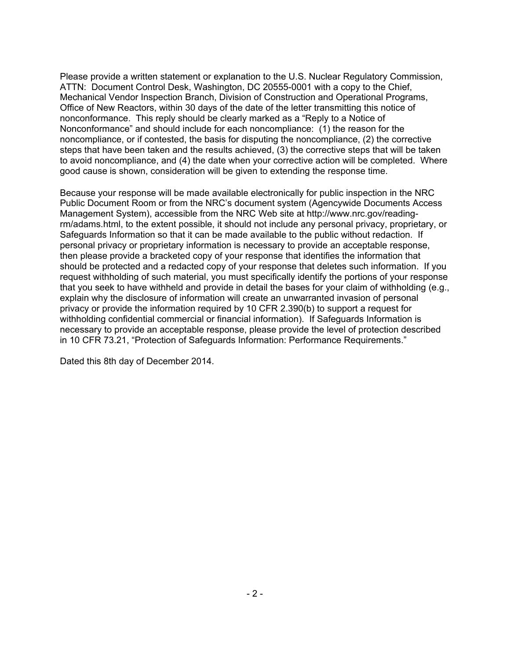Please provide a written statement or explanation to the U.S. Nuclear Regulatory Commission, ATTN: Document Control Desk, Washington, DC 20555-0001 with a copy to the Chief, Mechanical Vendor Inspection Branch, Division of Construction and Operational Programs, Office of New Reactors, within 30 days of the date of the letter transmitting this notice of nonconformance. This reply should be clearly marked as a "Reply to a Notice of Nonconformance" and should include for each noncompliance: (1) the reason for the noncompliance, or if contested, the basis for disputing the noncompliance, (2) the corrective steps that have been taken and the results achieved, (3) the corrective steps that will be taken to avoid noncompliance, and (4) the date when your corrective action will be completed. Where good cause is shown, consideration will be given to extending the response time.

Because your response will be made available electronically for public inspection in the NRC Public Document Room or from the NRC's document system (Agencywide Documents Access Management System), accessible from the NRC Web site at http://www.nrc.gov/readingrm/adams.html, to the extent possible, it should not include any personal privacy, proprietary, or Safeguards Information so that it can be made available to the public without redaction. If personal privacy or proprietary information is necessary to provide an acceptable response, then please provide a bracketed copy of your response that identifies the information that should be protected and a redacted copy of your response that deletes such information. If you request withholding of such material, you must specifically identify the portions of your response that you seek to have withheld and provide in detail the bases for your claim of withholding (e.g., explain why the disclosure of information will create an unwarranted invasion of personal privacy or provide the information required by 10 CFR 2.390(b) to support a request for withholding confidential commercial or financial information). If Safeguards Information is necessary to provide an acceptable response, please provide the level of protection described in 10 CFR 73.21, "Protection of Safeguards Information: Performance Requirements."

Dated this 8th day of December 2014.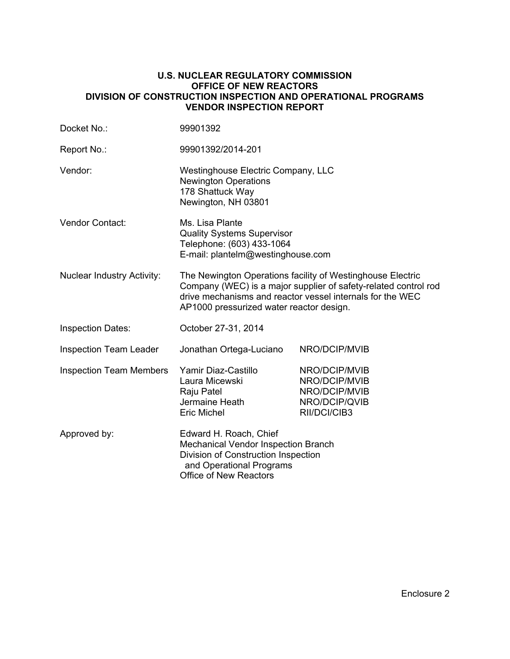#### **U.S. NUCLEAR REGULATORY COMMISSION OFFICE OF NEW REACTORS DIVISION OF CONSTRUCTION INSPECTION AND OPERATIONAL PROGRAMS VENDOR INSPECTION REPORT**

| Docket No.:                       | 99901392                                                                                                                                                                                                                               |                                                                                  |  |  |  |
|-----------------------------------|----------------------------------------------------------------------------------------------------------------------------------------------------------------------------------------------------------------------------------------|----------------------------------------------------------------------------------|--|--|--|
| Report No.:                       | 99901392/2014-201                                                                                                                                                                                                                      |                                                                                  |  |  |  |
| Vendor:                           | Westinghouse Electric Company, LLC<br><b>Newington Operations</b><br>178 Shattuck Way<br>Newington, NH 03801                                                                                                                           |                                                                                  |  |  |  |
| Vendor Contact:                   | Ms. Lisa Plante<br><b>Quality Systems Supervisor</b><br>Telephone: (603) 433-1064<br>E-mail: plantelm@westinghouse.com                                                                                                                 |                                                                                  |  |  |  |
| <b>Nuclear Industry Activity:</b> | The Newington Operations facility of Westinghouse Electric<br>Company (WEC) is a major supplier of safety-related control rod<br>drive mechanisms and reactor vessel internals for the WEC<br>AP1000 pressurized water reactor design. |                                                                                  |  |  |  |
| <b>Inspection Dates:</b>          | October 27-31, 2014                                                                                                                                                                                                                    |                                                                                  |  |  |  |
| <b>Inspection Team Leader</b>     | Jonathan Ortega-Luciano                                                                                                                                                                                                                | NRO/DCIP/MVIB                                                                    |  |  |  |
| <b>Inspection Team Members</b>    | Yamir Diaz-Castillo<br>Laura Micewski<br>Raju Patel<br>Jermaine Heath<br><b>Eric Michel</b>                                                                                                                                            | NRO/DCIP/MVIB<br>NRO/DCIP/MVIB<br>NRO/DCIP/MVIB<br>NRO/DCIP/QVIB<br>RII/DCI/CIB3 |  |  |  |
| Approved by:                      | Edward H. Roach, Chief<br>Mechanical Vendor Inspection Branch<br>Division of Construction Inspection<br>and Operational Programs<br><b>Office of New Reactors</b>                                                                      |                                                                                  |  |  |  |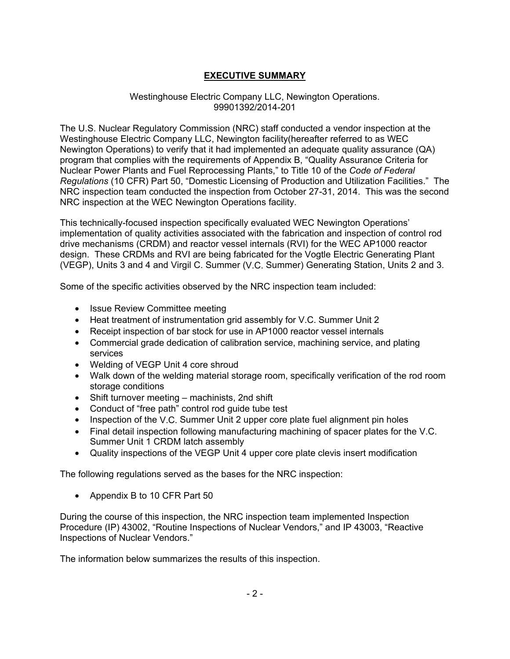# **EXECUTIVE SUMMARY**

### Westinghouse Electric Company LLC, Newington Operations. 99901392/2014-201

The U.S. Nuclear Regulatory Commission (NRC) staff conducted a vendor inspection at the Westinghouse Electric Company LLC, Newington facility(hereafter referred to as WEC Newington Operations) to verify that it had implemented an adequate quality assurance (QA) program that complies with the requirements of Appendix B, "Quality Assurance Criteria for Nuclear Power Plants and Fuel Reprocessing Plants," to Title 10 of the *Code of Federal Regulations* (10 CFR) Part 50, "Domestic Licensing of Production and Utilization Facilities." The NRC inspection team conducted the inspection from October 27-31, 2014. This was the second NRC inspection at the WEC Newington Operations facility.

This technically-focused inspection specifically evaluated WEC Newington Operations' implementation of quality activities associated with the fabrication and inspection of control rod drive mechanisms (CRDM) and reactor vessel internals (RVI) for the WEC AP1000 reactor design. These CRDMs and RVI are being fabricated for the Vogtle Electric Generating Plant (VEGP), Units 3 and 4 and Virgil C. Summer (V.C. Summer) Generating Station, Units 2 and 3.

Some of the specific activities observed by the NRC inspection team included:

- Issue Review Committee meeting
- Heat treatment of instrumentation grid assembly for V.C. Summer Unit 2
- Receipt inspection of bar stock for use in AP1000 reactor vessel internals
- Commercial grade dedication of calibration service, machining service, and plating services
- Welding of VEGP Unit 4 core shroud
- Walk down of the welding material storage room, specifically verification of the rod room storage conditions
- Shift turnover meeting machinists, 2nd shift
- Conduct of "free path" control rod guide tube test
- Inspection of the V.C. Summer Unit 2 upper core plate fuel alignment pin holes
- Final detail inspection following manufacturing machining of spacer plates for the V.C. Summer Unit 1 CRDM latch assembly
- Quality inspections of the VEGP Unit 4 upper core plate clevis insert modification

The following regulations served as the bases for the NRC inspection:

• Appendix B to 10 CFR Part 50

During the course of this inspection, the NRC inspection team implemented Inspection Procedure (IP) 43002, "Routine Inspections of Nuclear Vendors," and IP 43003, "Reactive Inspections of Nuclear Vendors."

The information below summarizes the results of this inspection.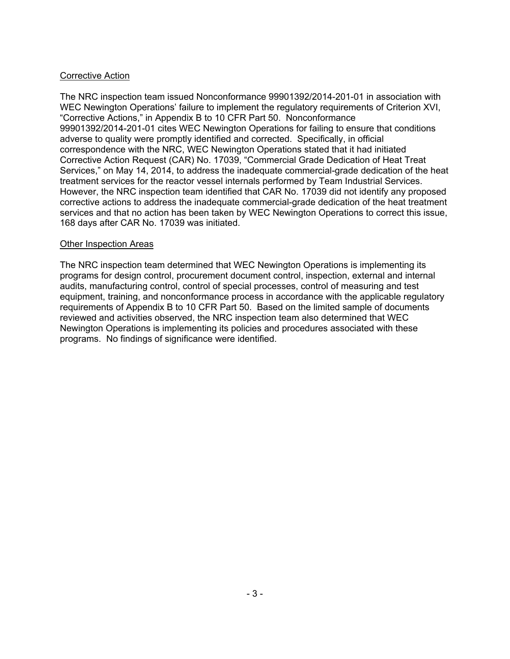# Corrective Action

The NRC inspection team issued Nonconformance 99901392/2014-201-01 in association with WEC Newington Operations' failure to implement the regulatory requirements of Criterion XVI, "Corrective Actions," in Appendix B to 10 CFR Part 50. Nonconformance 99901392/2014-201-01 cites WEC Newington Operations for failing to ensure that conditions adverse to quality were promptly identified and corrected. Specifically, in official correspondence with the NRC, WEC Newington Operations stated that it had initiated Corrective Action Request (CAR) No. 17039, "Commercial Grade Dedication of Heat Treat Services," on May 14, 2014, to address the inadequate commercial-grade dedication of the heat treatment services for the reactor vessel internals performed by Team Industrial Services. However, the NRC inspection team identified that CAR No. 17039 did not identify any proposed corrective actions to address the inadequate commercial-grade dedication of the heat treatment services and that no action has been taken by WEC Newington Operations to correct this issue, 168 days after CAR No. 17039 was initiated.

# Other Inspection Areas

The NRC inspection team determined that WEC Newington Operations is implementing its programs for design control, procurement document control, inspection, external and internal audits, manufacturing control, control of special processes, control of measuring and test equipment, training, and nonconformance process in accordance with the applicable regulatory requirements of Appendix B to 10 CFR Part 50. Based on the limited sample of documents reviewed and activities observed, the NRC inspection team also determined that WEC Newington Operations is implementing its policies and procedures associated with these programs. No findings of significance were identified.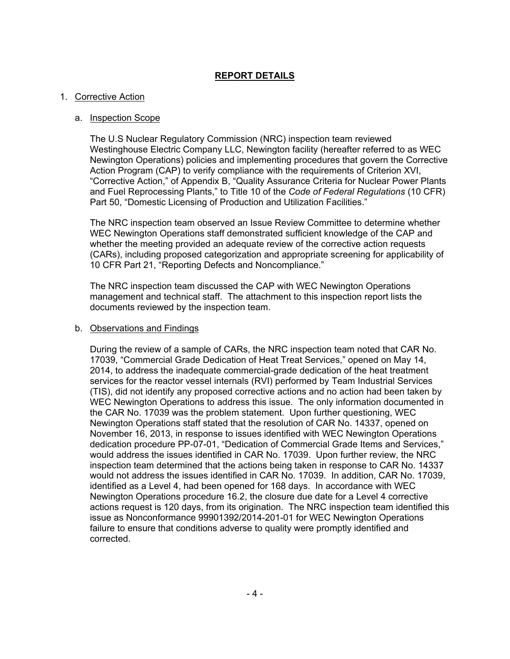# **REPORT DETAILS**

### 1. Corrective Action

#### a. Inspection Scope

The U.S Nuclear Regulatory Commission (NRC) inspection team reviewed Westinghouse Electric Company LLC, Newington facility (hereafter referred to as WEC Newington Operations) policies and implementing procedures that govern the Corrective Action Program (CAP) to verify compliance with the requirements of Criterion XVI, "Corrective Action," of Appendix B, "Quality Assurance Criteria for Nuclear Power Plants and Fuel Reprocessing Plants," to Title 10 of the *Code of Federal Regulations* (10 CFR) Part 50, "Domestic Licensing of Production and Utilization Facilities."

The NRC inspection team observed an Issue Review Committee to determine whether WEC Newington Operations staff demonstrated sufficient knowledge of the CAP and whether the meeting provided an adequate review of the corrective action requests (CARs), including proposed categorization and appropriate screening for applicability of 10 CFR Part 21, "Reporting Defects and Noncompliance."

The NRC inspection team discussed the CAP with WEC Newington Operations management and technical staff. The attachment to this inspection report lists the documents reviewed by the inspection team.

#### b. Observations and Findings

During the review of a sample of CARs, the NRC inspection team noted that CAR No. 17039, "Commercial Grade Dedication of Heat Treat Services," opened on May 14, 2014, to address the inadequate commercial-grade dedication of the heat treatment services for the reactor vessel internals (RVI) performed by Team Industrial Services (TIS), did not identify any proposed corrective actions and no action had been taken by WEC Newington Operations to address this issue. The only information documented in the CAR No. 17039 was the problem statement. Upon further questioning, WEC Newington Operations staff stated that the resolution of CAR No. 14337, opened on November 16, 2013, in response to issues identified with WEC Newington Operations dedication procedure PP-07-01, "Dedication of Commercial Grade Items and Services," would address the issues identified in CAR No. 17039. Upon further review, the NRC inspection team determined that the actions being taken in response to CAR No. 14337 would not address the issues identified in CAR No. 17039. In addition, CAR No. 17039, identified as a Level 4, had been opened for 168 days. In accordance with WEC Newington Operations procedure 16.2, the closure due date for a Level 4 corrective actions request is 120 days, from its origination. The NRC inspection team identified this issue as Nonconformance 99901392/2014-201-01 for WEC Newington Operations failure to ensure that conditions adverse to quality were promptly identified and corrected.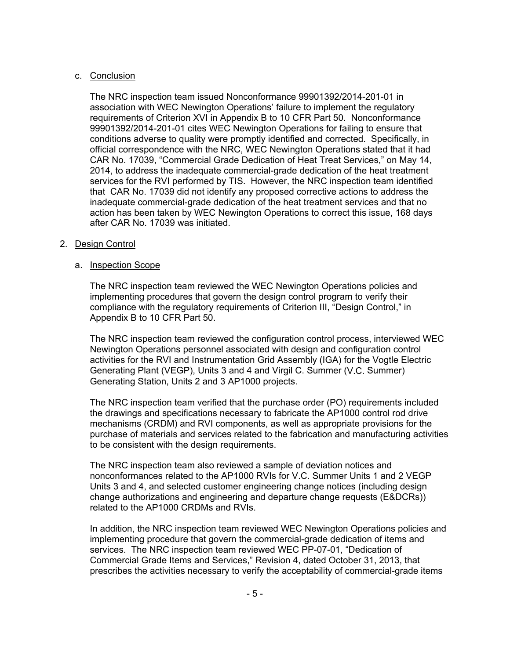# c. Conclusion

The NRC inspection team issued Nonconformance 99901392/2014-201-01 in association with WEC Newington Operations' failure to implement the regulatory requirements of Criterion XVI in Appendix B to 10 CFR Part 50. Nonconformance 99901392/2014-201-01 cites WEC Newington Operations for failing to ensure that conditions adverse to quality were promptly identified and corrected. Specifically, in official correspondence with the NRC, WEC Newington Operations stated that it had CAR No. 17039, "Commercial Grade Dedication of Heat Treat Services," on May 14, 2014, to address the inadequate commercial-grade dedication of the heat treatment services for the RVI performed by TIS. However, the NRC inspection team identified that CAR No. 17039 did not identify any proposed corrective actions to address the inadequate commercial-grade dedication of the heat treatment services and that no action has been taken by WEC Newington Operations to correct this issue, 168 days after CAR No. 17039 was initiated.

# 2. Design Control

# a. Inspection Scope

The NRC inspection team reviewed the WEC Newington Operations policies and implementing procedures that govern the design control program to verify their compliance with the regulatory requirements of Criterion III, "Design Control," in Appendix B to 10 CFR Part 50.

The NRC inspection team reviewed the configuration control process, interviewed WEC Newington Operations personnel associated with design and configuration control activities for the RVI and Instrumentation Grid Assembly (IGA) for the Vogtle Electric Generating Plant (VEGP), Units 3 and 4 and Virgil C. Summer (V.C. Summer) Generating Station, Units 2 and 3 AP1000 projects.

The NRC inspection team verified that the purchase order (PO) requirements included the drawings and specifications necessary to fabricate the AP1000 control rod drive mechanisms (CRDM) and RVI components, as well as appropriate provisions for the purchase of materials and services related to the fabrication and manufacturing activities to be consistent with the design requirements.

The NRC inspection team also reviewed a sample of deviation notices and nonconformances related to the AP1000 RVIs for V.C. Summer Units 1 and 2 VEGP Units 3 and 4, and selected customer engineering change notices (including design change authorizations and engineering and departure change requests (E&DCRs)) related to the AP1000 CRDMs and RVIs.

In addition, the NRC inspection team reviewed WEC Newington Operations policies and implementing procedure that govern the commercial-grade dedication of items and services. The NRC inspection team reviewed WEC PP-07-01, "Dedication of Commercial Grade Items and Services," Revision 4, dated October 31, 2013, that prescribes the activities necessary to verify the acceptability of commercial-grade items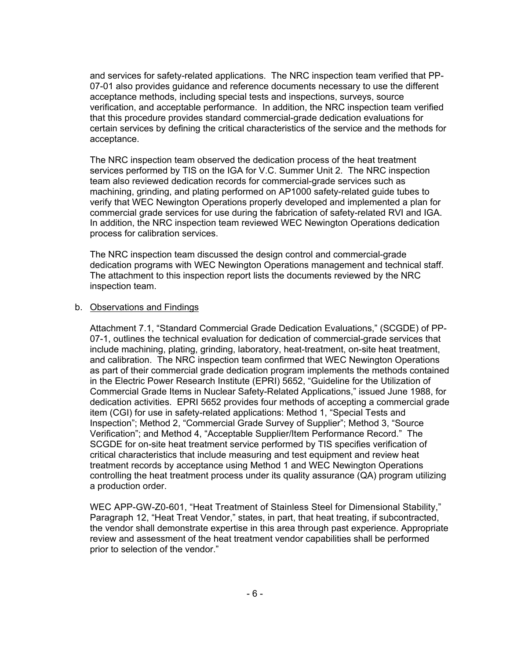and services for safety-related applications. The NRC inspection team verified that PP-07-01 also provides guidance and reference documents necessary to use the different acceptance methods, including special tests and inspections, surveys, source verification, and acceptable performance. In addition, the NRC inspection team verified that this procedure provides standard commercial-grade dedication evaluations for certain services by defining the critical characteristics of the service and the methods for acceptance.

The NRC inspection team observed the dedication process of the heat treatment services performed by TIS on the IGA for V.C. Summer Unit 2. The NRC inspection team also reviewed dedication records for commercial-grade services such as machining, grinding, and plating performed on AP1000 safety-related guide tubes to verify that WEC Newington Operations properly developed and implemented a plan for commercial grade services for use during the fabrication of safety-related RVI and IGA. In addition, the NRC inspection team reviewed WEC Newington Operations dedication process for calibration services.

The NRC inspection team discussed the design control and commercial-grade dedication programs with WEC Newington Operations management and technical staff. The attachment to this inspection report lists the documents reviewed by the NRC inspection team.

#### b. Observations and Findings

Attachment 7.1, "Standard Commercial Grade Dedication Evaluations," (SCGDE) of PP-07-1, outlines the technical evaluation for dedication of commercial-grade services that include machining, plating, grinding, laboratory, heat-treatment, on-site heat treatment, and calibration. The NRC inspection team confirmed that WEC Newington Operations as part of their commercial grade dedication program implements the methods contained in the Electric Power Research Institute (EPRI) 5652, "Guideline for the Utilization of Commercial Grade Items in Nuclear Safety-Related Applications," issued June 1988, for dedication activities. EPRI 5652 provides four methods of accepting a commercial grade item (CGI) for use in safety-related applications: Method 1, "Special Tests and Inspection"; Method 2, "Commercial Grade Survey of Supplier"; Method 3, "Source Verification"; and Method 4, "Acceptable Supplier/Item Performance Record." The SCGDE for on-site heat treatment service performed by TIS specifies verification of critical characteristics that include measuring and test equipment and review heat treatment records by acceptance using Method 1 and WEC Newington Operations controlling the heat treatment process under its quality assurance (QA) program utilizing a production order.

WEC APP-GW-Z0-601, "Heat Treatment of Stainless Steel for Dimensional Stability," Paragraph 12, "Heat Treat Vendor," states, in part, that heat treating, if subcontracted, the vendor shall demonstrate expertise in this area through past experience. Appropriate review and assessment of the heat treatment vendor capabilities shall be performed prior to selection of the vendor."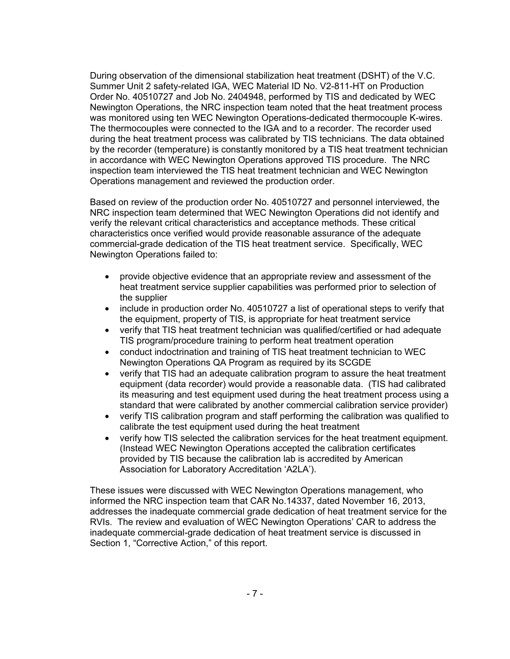During observation of the dimensional stabilization heat treatment (DSHT) of the V.C. Summer Unit 2 safety-related IGA, WEC Material ID No. V2-811-HT on Production Order No. 40510727 and Job No. 2404948, performed by TIS and dedicated by WEC Newington Operations, the NRC inspection team noted that the heat treatment process was monitored using ten WEC Newington Operations-dedicated thermocouple K-wires. The thermocouples were connected to the IGA and to a recorder. The recorder used during the heat treatment process was calibrated by TIS technicians. The data obtained by the recorder (temperature) is constantly monitored by a TIS heat treatment technician in accordance with WEC Newington Operations approved TIS procedure. The NRC inspection team interviewed the TIS heat treatment technician and WEC Newington Operations management and reviewed the production order.

Based on review of the production order No. 40510727 and personnel interviewed, the NRC inspection team determined that WEC Newington Operations did not identify and verify the relevant critical characteristics and acceptance methods. These critical characteristics once verified would provide reasonable assurance of the adequate commercial-grade dedication of the TIS heat treatment service. Specifically, WEC Newington Operations failed to:

- provide objective evidence that an appropriate review and assessment of the heat treatment service supplier capabilities was performed prior to selection of the supplier
- include in production order No. 40510727 a list of operational steps to verify that the equipment, property of TIS, is appropriate for heat treatment service
- verify that TIS heat treatment technician was qualified/certified or had adequate TIS program/procedure training to perform heat treatment operation
- conduct indoctrination and training of TIS heat treatment technician to WEC Newington Operations QA Program as required by its SCGDE
- verify that TIS had an adequate calibration program to assure the heat treatment equipment (data recorder) would provide a reasonable data. (TIS had calibrated its measuring and test equipment used during the heat treatment process using a standard that were calibrated by another commercial calibration service provider)
- verify TIS calibration program and staff performing the calibration was qualified to calibrate the test equipment used during the heat treatment
- verify how TIS selected the calibration services for the heat treatment equipment. (Instead WEC Newington Operations accepted the calibration certificates provided by TIS because the calibration lab is accredited by American Association for Laboratory Accreditation 'A2LA').

These issues were discussed with WEC Newington Operations management, who informed the NRC inspection team that CAR No.14337, dated November 16, 2013, addresses the inadequate commercial grade dedication of heat treatment service for the RVIs. The review and evaluation of WEC Newington Operations' CAR to address the inadequate commercial-grade dedication of heat treatment service is discussed in Section 1, "Corrective Action," of this report.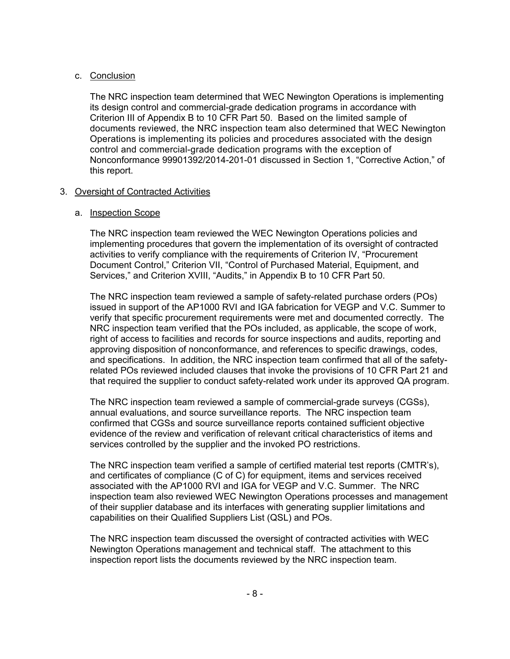# c. Conclusion

The NRC inspection team determined that WEC Newington Operations is implementing its design control and commercial-grade dedication programs in accordance with Criterion III of Appendix B to 10 CFR Part 50. Based on the limited sample of documents reviewed, the NRC inspection team also determined that WEC Newington Operations is implementing its policies and procedures associated with the design control and commercial-grade dedication programs with the exception of Nonconformance 99901392/2014-201-01 discussed in Section 1, "Corrective Action," of this report.

# 3. Oversight of Contracted Activities

# a. Inspection Scope

The NRC inspection team reviewed the WEC Newington Operations policies and implementing procedures that govern the implementation of its oversight of contracted activities to verify compliance with the requirements of Criterion IV, "Procurement Document Control," Criterion VII, "Control of Purchased Material, Equipment, and Services," and Criterion XVIII, "Audits," in Appendix B to 10 CFR Part 50.

The NRC inspection team reviewed a sample of safety-related purchase orders (POs) issued in support of the AP1000 RVI and IGA fabrication for VEGP and V.C. Summer to verify that specific procurement requirements were met and documented correctly. The NRC inspection team verified that the POs included, as applicable, the scope of work, right of access to facilities and records for source inspections and audits, reporting and approving disposition of nonconformance, and references to specific drawings, codes, and specifications. In addition, the NRC inspection team confirmed that all of the safetyrelated POs reviewed included clauses that invoke the provisions of 10 CFR Part 21 and that required the supplier to conduct safety-related work under its approved QA program.

The NRC inspection team reviewed a sample of commercial-grade surveys (CGSs), annual evaluations, and source surveillance reports. The NRC inspection team confirmed that CGSs and source surveillance reports contained sufficient objective evidence of the review and verification of relevant critical characteristics of items and services controlled by the supplier and the invoked PO restrictions.

The NRC inspection team verified a sample of certified material test reports (CMTR's), and certificates of compliance (C of C) for equipment, items and services received associated with the AP1000 RVI and IGA for VEGP and V.C. Summer. The NRC inspection team also reviewed WEC Newington Operations processes and management of their supplier database and its interfaces with generating supplier limitations and capabilities on their Qualified Suppliers List (QSL) and POs.

The NRC inspection team discussed the oversight of contracted activities with WEC Newington Operations management and technical staff. The attachment to this inspection report lists the documents reviewed by the NRC inspection team.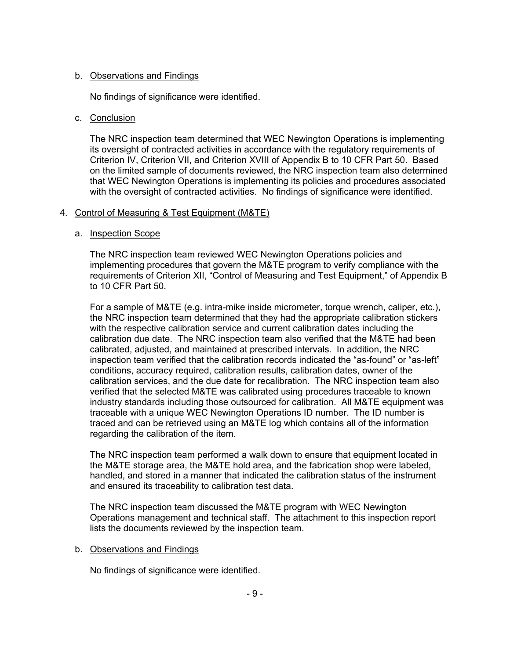# b. Observations and Findings

No findings of significance were identified.

# c. Conclusion

The NRC inspection team determined that WEC Newington Operations is implementing its oversight of contracted activities in accordance with the regulatory requirements of Criterion IV, Criterion VII, and Criterion XVIII of Appendix B to 10 CFR Part 50. Based on the limited sample of documents reviewed, the NRC inspection team also determined that WEC Newington Operations is implementing its policies and procedures associated with the oversight of contracted activities. No findings of significance were identified.

# 4. Control of Measuring & Test Equipment (M&TE)

# a. Inspection Scope

The NRC inspection team reviewed WEC Newington Operations policies and implementing procedures that govern the M&TE program to verify compliance with the requirements of Criterion XII, "Control of Measuring and Test Equipment," of Appendix B to 10 CFR Part 50.

For a sample of M&TE (e.g. intra-mike inside micrometer, torque wrench, caliper, etc.), the NRC inspection team determined that they had the appropriate calibration stickers with the respective calibration service and current calibration dates including the calibration due date. The NRC inspection team also verified that the M&TE had been calibrated, adjusted, and maintained at prescribed intervals. In addition, the NRC inspection team verified that the calibration records indicated the "as-found" or "as-left" conditions, accuracy required, calibration results, calibration dates, owner of the calibration services, and the due date for recalibration. The NRC inspection team also verified that the selected M&TE was calibrated using procedures traceable to known industry standards including those outsourced for calibration. All M&TE equipment was traceable with a unique WEC Newington Operations ID number. The ID number is traced and can be retrieved using an M&TE log which contains all of the information regarding the calibration of the item.

The NRC inspection team performed a walk down to ensure that equipment located in the M&TE storage area, the M&TE hold area, and the fabrication shop were labeled, handled, and stored in a manner that indicated the calibration status of the instrument and ensured its traceability to calibration test data.

The NRC inspection team discussed the M&TE program with WEC Newington Operations management and technical staff. The attachment to this inspection report lists the documents reviewed by the inspection team.

# b. Observations and Findings

No findings of significance were identified.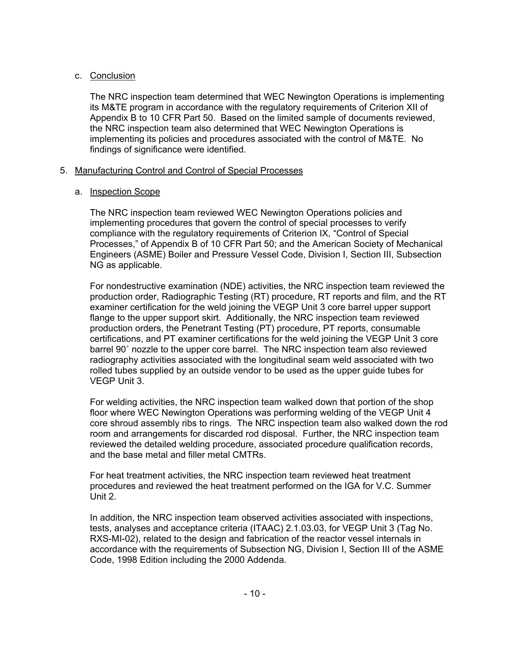# c. Conclusion

The NRC inspection team determined that WEC Newington Operations is implementing its M&TE program in accordance with the regulatory requirements of Criterion XII of Appendix B to 10 CFR Part 50. Based on the limited sample of documents reviewed, the NRC inspection team also determined that WEC Newington Operations is implementing its policies and procedures associated with the control of M&TE. No findings of significance were identified.

# 5. Manufacturing Control and Control of Special Processes

# a. Inspection Scope

The NRC inspection team reviewed WEC Newington Operations policies and implementing procedures that govern the control of special processes to verify compliance with the regulatory requirements of Criterion IX, "Control of Special Processes," of Appendix B of 10 CFR Part 50; and the American Society of Mechanical Engineers (ASME) Boiler and Pressure Vessel Code, Division I, Section III, Subsection NG as applicable.

For nondestructive examination (NDE) activities, the NRC inspection team reviewed the production order, Radiographic Testing (RT) procedure, RT reports and film, and the RT examiner certification for the weld joining the VEGP Unit 3 core barrel upper support flange to the upper support skirt. Additionally, the NRC inspection team reviewed production orders, the Penetrant Testing (PT) procedure, PT reports, consumable certifications, and PT examiner certifications for the weld joining the VEGP Unit 3 core barrel 90˚ nozzle to the upper core barrel. The NRC inspection team also reviewed radiography activities associated with the longitudinal seam weld associated with two rolled tubes supplied by an outside vendor to be used as the upper guide tubes for VEGP Unit 3.

For welding activities, the NRC inspection team walked down that portion of the shop floor where WEC Newington Operations was performing welding of the VEGP Unit 4 core shroud assembly ribs to rings. The NRC inspection team also walked down the rod room and arrangements for discarded rod disposal. Further, the NRC inspection team reviewed the detailed welding procedure, associated procedure qualification records, and the base metal and filler metal CMTRs.

For heat treatment activities, the NRC inspection team reviewed heat treatment procedures and reviewed the heat treatment performed on the IGA for V.C. Summer Unit 2.

In addition, the NRC inspection team observed activities associated with inspections, tests, analyses and acceptance criteria (ITAAC) 2.1.03.03, for VEGP Unit 3 (Tag No. RXS-MI-02), related to the design and fabrication of the reactor vessel internals in accordance with the requirements of Subsection NG, Division I, Section III of the ASME Code, 1998 Edition including the 2000 Addenda.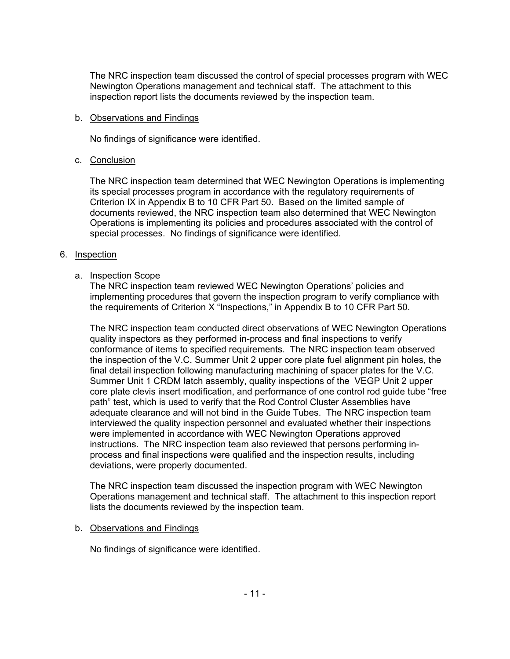The NRC inspection team discussed the control of special processes program with WEC Newington Operations management and technical staff. The attachment to this inspection report lists the documents reviewed by the inspection team.

### b. Observations and Findings

No findings of significance were identified.

### c. Conclusion

The NRC inspection team determined that WEC Newington Operations is implementing its special processes program in accordance with the regulatory requirements of Criterion IX in Appendix B to 10 CFR Part 50. Based on the limited sample of documents reviewed, the NRC inspection team also determined that WEC Newington Operations is implementing its policies and procedures associated with the control of special processes. No findings of significance were identified.

### 6. Inspection

# a. Inspection Scope

The NRC inspection team reviewed WEC Newington Operations' policies and implementing procedures that govern the inspection program to verify compliance with the requirements of Criterion X "Inspections," in Appendix B to 10 CFR Part 50.

The NRC inspection team conducted direct observations of WEC Newington Operations quality inspectors as they performed in-process and final inspections to verify conformance of items to specified requirements. The NRC inspection team observed the inspection of the V.C. Summer Unit 2 upper core plate fuel alignment pin holes, the final detail inspection following manufacturing machining of spacer plates for the V.C. Summer Unit 1 CRDM latch assembly, quality inspections of the VEGP Unit 2 upper core plate clevis insert modification, and performance of one control rod guide tube "free path" test, which is used to verify that the Rod Control Cluster Assemblies have adequate clearance and will not bind in the Guide Tubes. The NRC inspection team interviewed the quality inspection personnel and evaluated whether their inspections were implemented in accordance with WEC Newington Operations approved instructions. The NRC inspection team also reviewed that persons performing inprocess and final inspections were qualified and the inspection results, including deviations, were properly documented.

The NRC inspection team discussed the inspection program with WEC Newington Operations management and technical staff. The attachment to this inspection report lists the documents reviewed by the inspection team.

# b. Observations and Findings

No findings of significance were identified.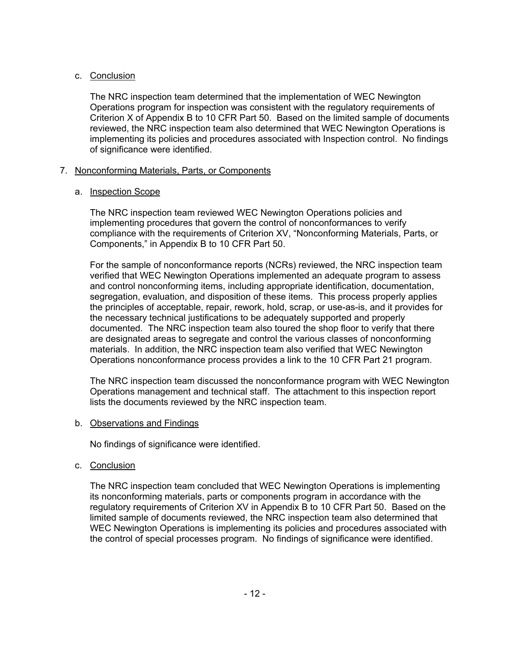# c. Conclusion

The NRC inspection team determined that the implementation of WEC Newington Operations program for inspection was consistent with the regulatory requirements of Criterion X of Appendix B to 10 CFR Part 50. Based on the limited sample of documents reviewed, the NRC inspection team also determined that WEC Newington Operations is implementing its policies and procedures associated with Inspection control. No findings of significance were identified.

# 7. Nonconforming Materials, Parts, or Components

# a. Inspection Scope

The NRC inspection team reviewed WEC Newington Operations policies and implementing procedures that govern the control of nonconformances to verify compliance with the requirements of Criterion XV, "Nonconforming Materials, Parts, or Components," in Appendix B to 10 CFR Part 50.

For the sample of nonconformance reports (NCRs) reviewed, the NRC inspection team verified that WEC Newington Operations implemented an adequate program to assess and control nonconforming items, including appropriate identification, documentation, segregation, evaluation, and disposition of these items. This process properly applies the principles of acceptable, repair, rework, hold, scrap, or use-as-is, and it provides for the necessary technical justifications to be adequately supported and properly documented. The NRC inspection team also toured the shop floor to verify that there are designated areas to segregate and control the various classes of nonconforming materials. In addition, the NRC inspection team also verified that WEC Newington Operations nonconformance process provides a link to the 10 CFR Part 21 program.

The NRC inspection team discussed the nonconformance program with WEC Newington Operations management and technical staff. The attachment to this inspection report lists the documents reviewed by the NRC inspection team.

# b. Observations and Findings

No findings of significance were identified.

c. Conclusion

The NRC inspection team concluded that WEC Newington Operations is implementing its nonconforming materials, parts or components program in accordance with the regulatory requirements of Criterion XV in Appendix B to 10 CFR Part 50. Based on the limited sample of documents reviewed, the NRC inspection team also determined that WEC Newington Operations is implementing its policies and procedures associated with the control of special processes program. No findings of significance were identified.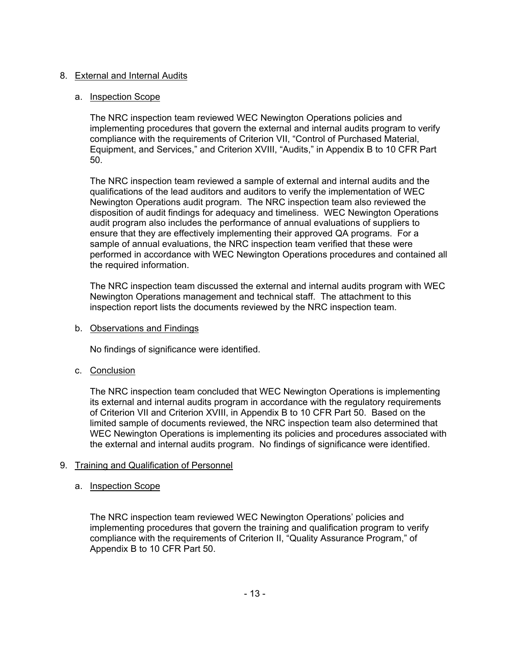# 8. External and Internal Audits

# a. Inspection Scope

The NRC inspection team reviewed WEC Newington Operations policies and implementing procedures that govern the external and internal audits program to verify compliance with the requirements of Criterion VII, "Control of Purchased Material, Equipment, and Services," and Criterion XVIII, "Audits," in Appendix B to 10 CFR Part 50.

The NRC inspection team reviewed a sample of external and internal audits and the qualifications of the lead auditors and auditors to verify the implementation of WEC Newington Operations audit program. The NRC inspection team also reviewed the disposition of audit findings for adequacy and timeliness. WEC Newington Operations audit program also includes the performance of annual evaluations of suppliers to ensure that they are effectively implementing their approved QA programs. For a sample of annual evaluations, the NRC inspection team verified that these were performed in accordance with WEC Newington Operations procedures and contained all the required information.

The NRC inspection team discussed the external and internal audits program with WEC Newington Operations management and technical staff. The attachment to this inspection report lists the documents reviewed by the NRC inspection team.

b. Observations and Findings

No findings of significance were identified.

c. Conclusion

The NRC inspection team concluded that WEC Newington Operations is implementing its external and internal audits program in accordance with the regulatory requirements of Criterion VII and Criterion XVIII, in Appendix B to 10 CFR Part 50. Based on the limited sample of documents reviewed, the NRC inspection team also determined that WEC Newington Operations is implementing its policies and procedures associated with the external and internal audits program. No findings of significance were identified.

# 9. Training and Qualification of Personnel

# a. Inspection Scope

The NRC inspection team reviewed WEC Newington Operations' policies and implementing procedures that govern the training and qualification program to verify compliance with the requirements of Criterion II, "Quality Assurance Program," of Appendix B to 10 CFR Part 50.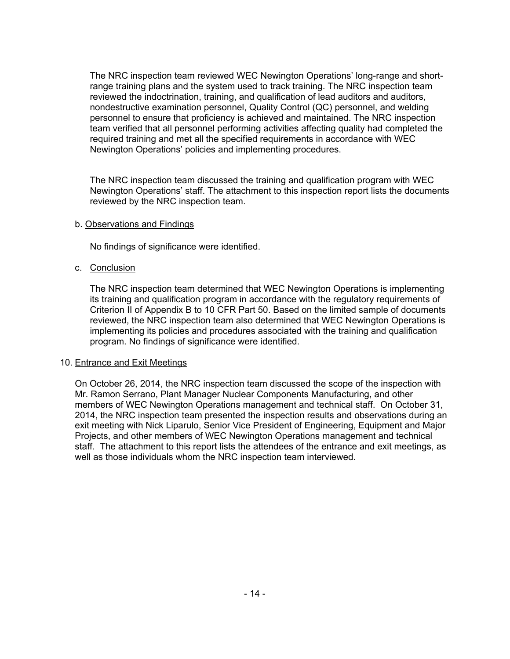The NRC inspection team reviewed WEC Newington Operations' long-range and shortrange training plans and the system used to track training. The NRC inspection team reviewed the indoctrination, training, and qualification of lead auditors and auditors, nondestructive examination personnel, Quality Control (QC) personnel, and welding personnel to ensure that proficiency is achieved and maintained. The NRC inspection team verified that all personnel performing activities affecting quality had completed the required training and met all the specified requirements in accordance with WEC Newington Operations' policies and implementing procedures.

The NRC inspection team discussed the training and qualification program with WEC Newington Operations' staff. The attachment to this inspection report lists the documents reviewed by the NRC inspection team.

### b. Observations and Findings

No findings of significance were identified.

# c. Conclusion

The NRC inspection team determined that WEC Newington Operations is implementing its training and qualification program in accordance with the regulatory requirements of Criterion II of Appendix B to 10 CFR Part 50. Based on the limited sample of documents reviewed, the NRC inspection team also determined that WEC Newington Operations is implementing its policies and procedures associated with the training and qualification program. No findings of significance were identified.

#### 10. Entrance and Exit Meetings

On October 26, 2014, the NRC inspection team discussed the scope of the inspection with Mr. Ramon Serrano, Plant Manager Nuclear Components Manufacturing, and other members of WEC Newington Operations management and technical staff. On October 31, 2014, the NRC inspection team presented the inspection results and observations during an exit meeting with Nick Liparulo, Senior Vice President of Engineering, Equipment and Major Projects, and other members of WEC Newington Operations management and technical staff. The attachment to this report lists the attendees of the entrance and exit meetings, as well as those individuals whom the NRC inspection team interviewed.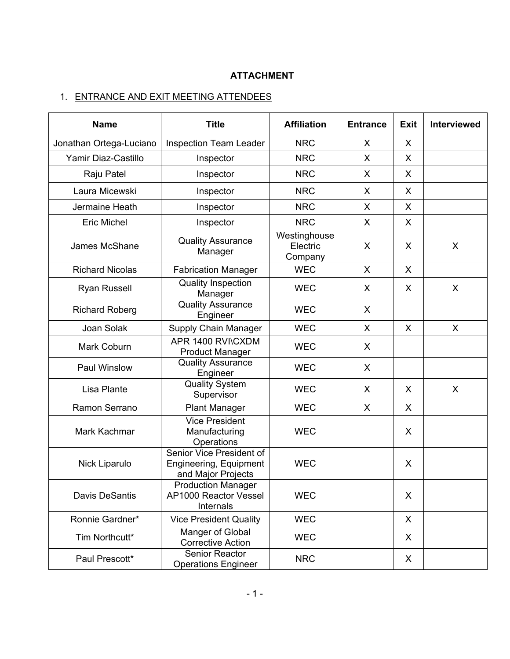# **ATTACHMENT**

# 1. ENTRANCE AND EXIT MEETING ATTENDEES

| <b>Name</b>                                              | <b>Title</b>                                                             | <b>Affiliation</b>                  | <b>Entrance</b> | <b>Exit</b> | Interviewed |
|----------------------------------------------------------|--------------------------------------------------------------------------|-------------------------------------|-----------------|-------------|-------------|
| Jonathan Ortega-Luciano<br><b>Inspection Team Leader</b> |                                                                          | <b>NRC</b>                          | X               | X           |             |
| Yamir Diaz-Castillo                                      | Inspector                                                                | <b>NRC</b>                          | X               | X           |             |
| Raju Patel                                               | Inspector                                                                | <b>NRC</b>                          | X               | X           |             |
| Laura Micewski                                           | Inspector                                                                | <b>NRC</b>                          | X               | X           |             |
| Jermaine Heath                                           | Inspector                                                                | <b>NRC</b>                          | X               | X           |             |
| <b>Eric Michel</b>                                       | Inspector                                                                | <b>NRC</b>                          | X               | X           |             |
| James McShane                                            | <b>Quality Assurance</b><br>Manager                                      | Westinghouse<br>Electric<br>Company | X               | X           | X           |
| <b>Richard Nicolas</b>                                   | <b>Fabrication Manager</b>                                               | <b>WEC</b>                          | X               | X           |             |
| <b>Ryan Russell</b>                                      | <b>Quality Inspection</b><br>Manager                                     | <b>WEC</b>                          | X               | X           | X           |
| <b>Richard Roberg</b>                                    | <b>Quality Assurance</b><br>Engineer                                     | <b>WEC</b>                          | X               |             |             |
| Joan Solak                                               | Supply Chain Manager                                                     | <b>WEC</b>                          | X               | X           | X           |
| Mark Coburn                                              | APR 1400 RVI\CXDM<br><b>Product Manager</b>                              | <b>WEC</b>                          | X               |             |             |
| Paul Winslow                                             | <b>Quality Assurance</b><br>Engineer                                     | <b>WEC</b>                          | X               |             |             |
| Lisa Plante                                              | <b>Quality System</b><br>Supervisor                                      | <b>WEC</b>                          | X               | X           | X           |
| Ramon Serrano                                            | <b>Plant Manager</b>                                                     | <b>WEC</b>                          | X               | X           |             |
| Mark Kachmar                                             | <b>Vice President</b><br>Manufacturing<br>Operations                     | <b>WEC</b>                          |                 | X           |             |
| Nick Liparulo                                            | Senior Vice President of<br>Engineering, Equipment<br>and Major Projects | <b>WEC</b>                          |                 | X           |             |
| <b>Davis DeSantis</b>                                    | <b>Production Manager</b><br>AP1000 Reactor Vessel<br>Internals          | <b>WEC</b>                          |                 | X           |             |
| Ronnie Gardner*                                          | <b>Vice President Quality</b>                                            | <b>WEC</b>                          |                 | X           |             |
| Tim Northcutt*                                           | Manger of Global<br><b>Corrective Action</b>                             | <b>WEC</b>                          |                 | X           |             |
| Paul Prescott*                                           | Senior Reactor<br><b>Operations Engineer</b>                             | <b>NRC</b>                          |                 | X           |             |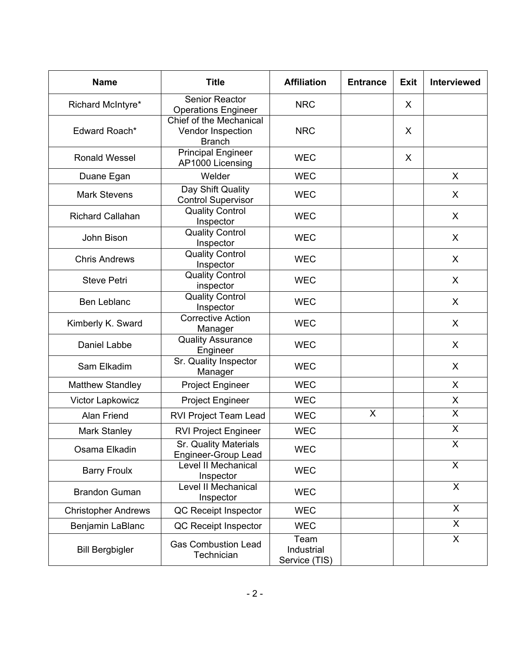| <b>Name</b>                                                       | <b>Title</b>                                                  | <b>Affiliation</b>                  | <b>Entrance</b> | <b>Exit</b> | Interviewed  |
|-------------------------------------------------------------------|---------------------------------------------------------------|-------------------------------------|-----------------|-------------|--------------|
| Senior Reactor<br>Richard McIntyre*<br><b>Operations Engineer</b> |                                                               | <b>NRC</b>                          |                 | X           |              |
| Edward Roach*                                                     | Chief of the Mechanical<br>Vendor Inspection<br><b>Branch</b> | <b>NRC</b>                          |                 | X           |              |
| <b>Ronald Wessel</b>                                              | <b>Principal Engineer</b><br>AP1000 Licensing                 | <b>WEC</b>                          |                 | X           |              |
| Duane Egan                                                        | Welder                                                        | <b>WEC</b>                          |                 |             | X            |
| <b>Mark Stevens</b>                                               | Day Shift Quality<br><b>Control Supervisor</b>                | <b>WEC</b>                          |                 |             | X            |
| <b>Richard Callahan</b>                                           | <b>Quality Control</b><br>Inspector                           | <b>WEC</b>                          |                 |             | X            |
| John Bison                                                        | <b>Quality Control</b><br>Inspector                           | <b>WEC</b>                          |                 |             | X            |
| <b>Chris Andrews</b>                                              | <b>Quality Control</b><br>Inspector                           | <b>WEC</b>                          |                 |             | X            |
| <b>Steve Petri</b>                                                | <b>Quality Control</b><br>inspector                           | <b>WEC</b>                          |                 |             | X            |
| Ben Leblanc                                                       | <b>Quality Control</b><br>Inspector                           | <b>WEC</b>                          |                 |             | X            |
| Kimberly K. Sward                                                 | <b>Corrective Action</b><br>Manager                           | <b>WEC</b>                          |                 |             | X            |
| Daniel Labbe                                                      | <b>Quality Assurance</b><br>Engineer                          | <b>WEC</b>                          |                 |             | X            |
| Sam Elkadim                                                       | Sr. Quality Inspector<br>Manager                              | <b>WEC</b>                          |                 |             | X            |
| <b>Matthew Standley</b>                                           | <b>Project Engineer</b>                                       | <b>WEC</b>                          |                 |             | X            |
| Victor Lapkowicz                                                  | <b>Project Engineer</b>                                       | <b>WEC</b>                          |                 |             | X            |
| Alan Friend                                                       | RVI Project Team Lead                                         | <b>WEC</b>                          | X               |             | X            |
| <b>Mark Stanley</b>                                               | <b>RVI Project Engineer</b>                                   | <b>WEC</b>                          |                 |             | X            |
| Osama Elkadin                                                     | Sr. Quality Materials<br>Engineer-Group Lead                  | <b>WEC</b>                          |                 |             | X            |
| <b>Barry Froulx</b>                                               | Level II Mechanical<br>Inspector                              | <b>WEC</b>                          |                 |             | $\mathsf{X}$ |
| <b>Brandon Guman</b>                                              | Level II Mechanical<br>Inspector                              | <b>WEC</b>                          |                 |             | $\mathsf{X}$ |
| <b>Christopher Andrews</b>                                        | QC Receipt Inspector                                          | <b>WEC</b>                          |                 |             | $\mathsf{X}$ |
| Benjamin LaBlanc                                                  | QC Receipt Inspector                                          | <b>WEC</b>                          |                 |             | $\mathsf{X}$ |
| <b>Bill Bergbigler</b>                                            | <b>Gas Combustion Lead</b><br>Technician                      | Team<br>Industrial<br>Service (TIS) |                 |             | X            |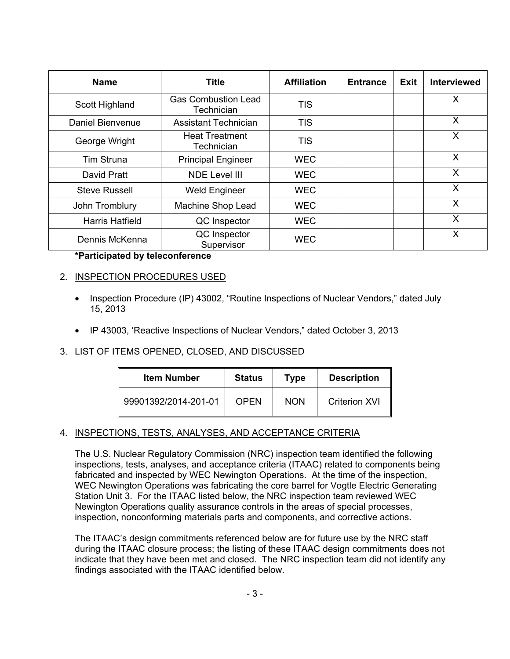| <b>Name</b>            | <b>Title</b>                             | <b>Affiliation</b> | <b>Entrance</b> | Exit | <b>Interviewed</b> |
|------------------------|------------------------------------------|--------------------|-----------------|------|--------------------|
| Scott Highland         | <b>Gas Combustion Lead</b><br>Technician | <b>TIS</b>         |                 |      | X                  |
| Daniel Bienvenue       | <b>Assistant Technician</b>              | <b>TIS</b>         |                 |      | X                  |
| George Wright          | <b>Heat Treatment</b><br>Technician      | <b>TIS</b>         |                 |      | X                  |
| <b>Tim Struna</b>      | <b>Principal Engineer</b>                | <b>WEC</b>         |                 |      | X                  |
| David Pratt            | <b>NDE Level III</b>                     | <b>WEC</b>         |                 |      | X                  |
| <b>Steve Russell</b>   | <b>Weld Engineer</b>                     | <b>WEC</b>         |                 |      | X                  |
| John Tromblury         | Machine Shop Lead                        | <b>WEC</b>         |                 |      | X                  |
| <b>Harris Hatfield</b> | QC Inspector                             | <b>WEC</b>         |                 |      | X                  |
| Dennis McKenna         | QC Inspector<br>Supervisor               | <b>WEC</b>         |                 |      | X                  |

# **\*Participated by teleconference**

# 2. INSPECTION PROCEDURES USED

- Inspection Procedure (IP) 43002, "Routine Inspections of Nuclear Vendors," dated July 15, 2013
- IP 43003, 'Reactive Inspections of Nuclear Vendors," dated October 3, 2013

# 3. LIST OF ITEMS OPENED, CLOSED, AND DISCUSSED

| <b>Item Number</b>   | <b>Status</b> | Type       | <b>Description</b>   |
|----------------------|---------------|------------|----------------------|
| 99901392/2014-201-01 | <b>OPEN</b>   | <b>NON</b> | <b>Criterion XVI</b> |

# 4. INSPECTIONS, TESTS, ANALYSES, AND ACCEPTANCE CRITERIA

The U.S. Nuclear Regulatory Commission (NRC) inspection team identified the following inspections, tests, analyses, and acceptance criteria (ITAAC) related to components being fabricated and inspected by WEC Newington Operations. At the time of the inspection, WEC Newington Operations was fabricating the core barrel for Vogtle Electric Generating Station Unit 3. For the ITAAC listed below, the NRC inspection team reviewed WEC Newington Operations quality assurance controls in the areas of special processes, inspection, nonconforming materials parts and components, and corrective actions.

The ITAAC's design commitments referenced below are for future use by the NRC staff during the ITAAC closure process; the listing of these ITAAC design commitments does not indicate that they have been met and closed. The NRC inspection team did not identify any findings associated with the ITAAC identified below.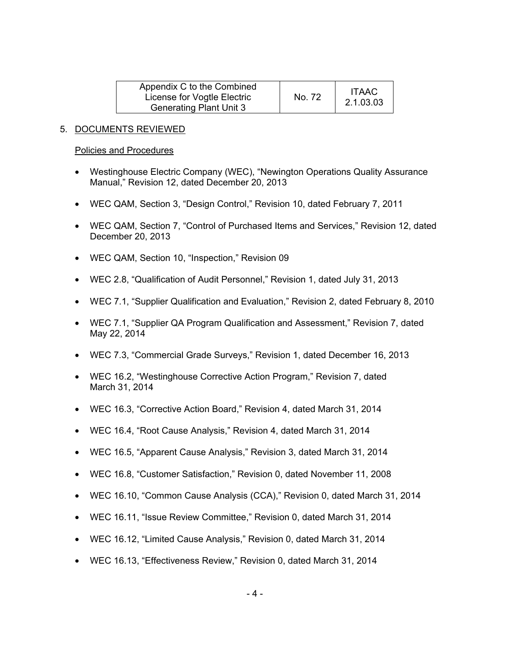| Appendix C to the Combined<br>License for Vogtle Electric<br><b>Generating Plant Unit 3</b> | No. 72 | <b>ITAAC</b><br>2.1.03.03 |
|---------------------------------------------------------------------------------------------|--------|---------------------------|
|---------------------------------------------------------------------------------------------|--------|---------------------------|

### 5. DOCUMENTS REVIEWED

#### Policies and Procedures

- Westinghouse Electric Company (WEC), "Newington Operations Quality Assurance Manual," Revision 12, dated December 20, 2013
- WEC QAM, Section 3, "Design Control," Revision 10, dated February 7, 2011
- WEC QAM, Section 7, "Control of Purchased Items and Services," Revision 12, dated December 20, 2013
- WEC QAM, Section 10, "Inspection," Revision 09
- WEC 2.8, "Qualification of Audit Personnel," Revision 1, dated July 31, 2013
- WEC 7.1, "Supplier Qualification and Evaluation," Revision 2, dated February 8, 2010
- WEC 7.1, "Supplier QA Program Qualification and Assessment," Revision 7, dated May 22, 2014
- WEC 7.3, "Commercial Grade Surveys," Revision 1, dated December 16, 2013
- WEC 16.2, "Westinghouse Corrective Action Program," Revision 7, dated March 31, 2014
- WEC 16.3, "Corrective Action Board," Revision 4, dated March 31, 2014
- WEC 16.4, "Root Cause Analysis," Revision 4, dated March 31, 2014
- WEC 16.5, "Apparent Cause Analysis," Revision 3, dated March 31, 2014
- WEC 16.8, "Customer Satisfaction," Revision 0, dated November 11, 2008
- WEC 16.10, "Common Cause Analysis (CCA)," Revision 0, dated March 31, 2014
- WEC 16.11, "Issue Review Committee," Revision 0, dated March 31, 2014
- WEC 16.12, "Limited Cause Analysis," Revision 0, dated March 31, 2014
- WEC 16.13, "Effectiveness Review," Revision 0, dated March 31, 2014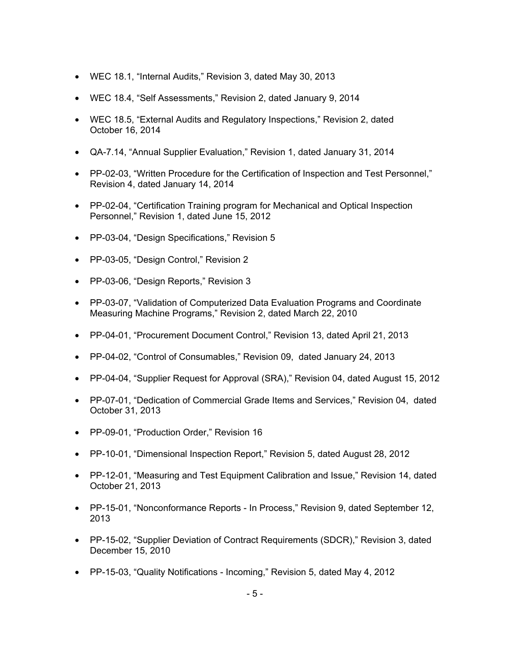- WEC 18.1, "Internal Audits," Revision 3, dated May 30, 2013
- WEC 18.4, "Self Assessments," Revision 2, dated January 9, 2014
- WEC 18.5, "External Audits and Regulatory Inspections," Revision 2, dated October 16, 2014
- QA-7.14, "Annual Supplier Evaluation," Revision 1, dated January 31, 2014
- PP-02-03, "Written Procedure for the Certification of Inspection and Test Personnel," Revision 4, dated January 14, 2014
- PP-02-04, "Certification Training program for Mechanical and Optical Inspection Personnel," Revision 1, dated June 15, 2012
- PP-03-04, "Design Specifications," Revision 5
- PP-03-05, "Design Control," Revision 2
- PP-03-06, "Design Reports," Revision 3
- PP-03-07, "Validation of Computerized Data Evaluation Programs and Coordinate Measuring Machine Programs," Revision 2, dated March 22, 2010
- PP-04-01, "Procurement Document Control," Revision 13, dated April 21, 2013
- PP-04-02, "Control of Consumables," Revision 09, dated January 24, 2013
- PP-04-04, "Supplier Request for Approval (SRA)," Revision 04, dated August 15, 2012
- PP-07-01, "Dedication of Commercial Grade Items and Services," Revision 04, dated October 31, 2013
- PP-09-01, "Production Order," Revision 16
- PP-10-01, "Dimensional Inspection Report," Revision 5, dated August 28, 2012
- PP-12-01, "Measuring and Test Equipment Calibration and Issue," Revision 14, dated October 21, 2013
- PP-15-01, "Nonconformance Reports In Process," Revision 9, dated September 12, 2013
- PP-15-02, "Supplier Deviation of Contract Requirements (SDCR)," Revision 3, dated December 15, 2010
- PP-15-03, "Quality Notifications Incoming," Revision 5, dated May 4, 2012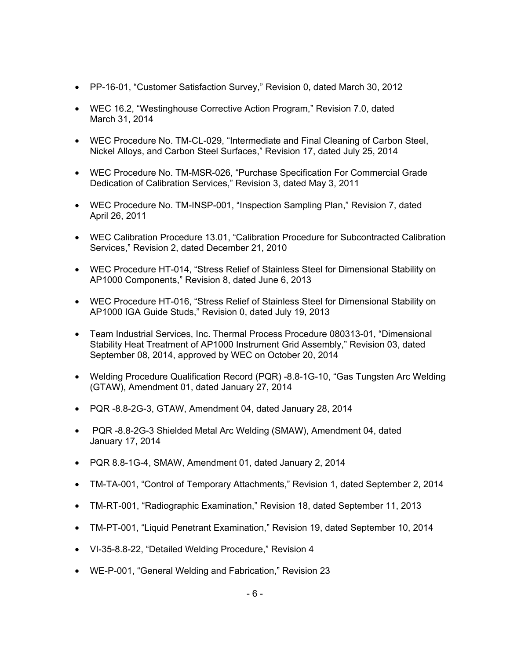- PP-16-01, "Customer Satisfaction Survey," Revision 0, dated March 30, 2012
- WEC 16.2, "Westinghouse Corrective Action Program," Revision 7.0, dated March 31, 2014
- WEC Procedure No. TM-CL-029, "Intermediate and Final Cleaning of Carbon Steel, Nickel Alloys, and Carbon Steel Surfaces," Revision 17, dated July 25, 2014
- WEC Procedure No. TM-MSR-026, "Purchase Specification For Commercial Grade Dedication of Calibration Services," Revision 3, dated May 3, 2011
- WEC Procedure No. TM-INSP-001, "Inspection Sampling Plan," Revision 7, dated April 26, 2011
- WEC Calibration Procedure 13.01, "Calibration Procedure for Subcontracted Calibration Services," Revision 2, dated December 21, 2010
- WEC Procedure HT-014, "Stress Relief of Stainless Steel for Dimensional Stability on AP1000 Components," Revision 8, dated June 6, 2013
- WEC Procedure HT-016, "Stress Relief of Stainless Steel for Dimensional Stability on AP1000 IGA Guide Studs," Revision 0, dated July 19, 2013
- Team Industrial Services, Inc. Thermal Process Procedure 080313-01, "Dimensional Stability Heat Treatment of AP1000 Instrument Grid Assembly," Revision 03, dated September 08, 2014, approved by WEC on October 20, 2014
- Welding Procedure Qualification Record (PQR) -8.8-1G-10, "Gas Tungsten Arc Welding (GTAW), Amendment 01, dated January 27, 2014
- PQR -8.8-2G-3, GTAW, Amendment 04, dated January 28, 2014
- PQR -8.8-2G-3 Shielded Metal Arc Welding (SMAW), Amendment 04, dated January 17, 2014
- PQR 8.8-1G-4, SMAW, Amendment 01, dated January 2, 2014
- TM-TA-001, "Control of Temporary Attachments," Revision 1, dated September 2, 2014
- TM-RT-001, "Radiographic Examination," Revision 18, dated September 11, 2013
- TM-PT-001, "Liquid Penetrant Examination," Revision 19, dated September 10, 2014
- VI-35-8.8-22, "Detailed Welding Procedure," Revision 4
- WE-P-001, "General Welding and Fabrication," Revision 23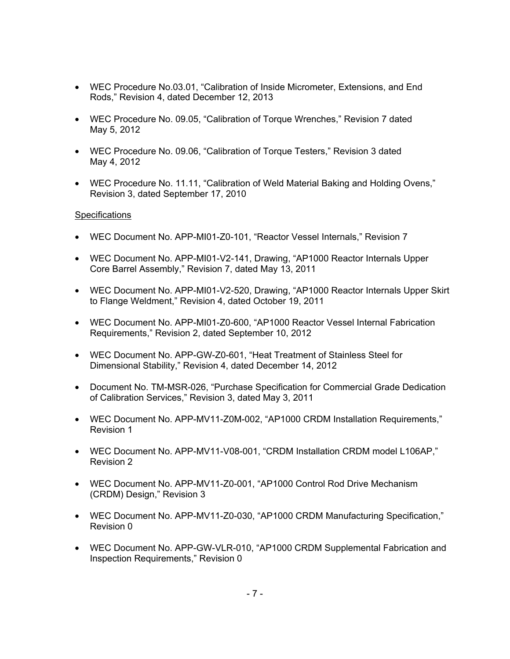- WEC Procedure No.03.01, "Calibration of Inside Micrometer, Extensions, and End Rods," Revision 4, dated December 12, 2013
- WEC Procedure No. 09.05, "Calibration of Torque Wrenches," Revision 7 dated May 5, 2012
- WEC Procedure No. 09.06, "Calibration of Torque Testers," Revision 3 dated May 4, 2012
- WEC Procedure No. 11.11, "Calibration of Weld Material Baking and Holding Ovens," Revision 3, dated September 17, 2010

### **Specifications**

- WEC Document No. APP-MI01-Z0-101, "Reactor Vessel Internals," Revision 7
- WEC Document No. APP-MI01-V2-141, Drawing, "AP1000 Reactor Internals Upper Core Barrel Assembly," Revision 7, dated May 13, 2011
- WEC Document No. APP-MI01-V2-520, Drawing, "AP1000 Reactor Internals Upper Skirt to Flange Weldment," Revision 4, dated October 19, 2011
- WEC Document No. APP-MI01-Z0-600, "AP1000 Reactor Vessel Internal Fabrication Requirements," Revision 2, dated September 10, 2012
- WEC Document No. APP-GW-Z0-601, "Heat Treatment of Stainless Steel for Dimensional Stability," Revision 4, dated December 14, 2012
- Document No. TM-MSR-026, "Purchase Specification for Commercial Grade Dedication of Calibration Services," Revision 3, dated May 3, 2011
- WEC Document No. APP-MV11-Z0M-002, "AP1000 CRDM Installation Requirements," Revision 1
- WEC Document No. APP-MV11-V08-001, "CRDM Installation CRDM model L106AP," Revision 2
- WEC Document No. APP-MV11-Z0-001, "AP1000 Control Rod Drive Mechanism (CRDM) Design," Revision 3
- WEC Document No. APP-MV11-Z0-030, "AP1000 CRDM Manufacturing Specification," Revision 0
- WEC Document No. APP-GW-VLR-010, "AP1000 CRDM Supplemental Fabrication and Inspection Requirements," Revision 0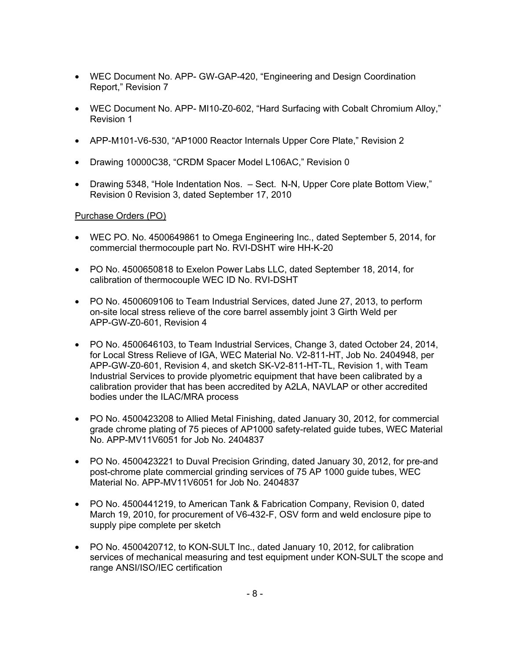- WEC Document No. APP- GW-GAP-420, "Engineering and Design Coordination Report," Revision 7
- WEC Document No. APP- MI10-Z0-602, "Hard Surfacing with Cobalt Chromium Alloy," Revision 1
- APP-M101-V6-530, "AP1000 Reactor Internals Upper Core Plate," Revision 2
- Drawing 10000C38, "CRDM Spacer Model L106AC," Revision 0
- Drawing 5348, "Hole Indentation Nos. Sect. N-N, Upper Core plate Bottom View," Revision 0 Revision 3, dated September 17, 2010

# Purchase Orders (PO)

- WEC PO. No. 4500649861 to Omega Engineering Inc., dated September 5, 2014, for commercial thermocouple part No. RVI-DSHT wire HH-K-20
- PO No. 4500650818 to Exelon Power Labs LLC, dated September 18, 2014, for calibration of thermocouple WEC ID No. RVI-DSHT
- PO No. 4500609106 to Team Industrial Services, dated June 27, 2013, to perform on-site local stress relieve of the core barrel assembly joint 3 Girth Weld per APP-GW-Z0-601, Revision 4
- PO No. 4500646103, to Team Industrial Services, Change 3, dated October 24, 2014, for Local Stress Relieve of IGA, WEC Material No. V2-811-HT, Job No. 2404948, per APP-GW-Z0-601, Revision 4, and sketch SK-V2-811-HT-TL, Revision 1, with Team Industrial Services to provide plyometric equipment that have been calibrated by a calibration provider that has been accredited by A2LA, NAVLAP or other accredited bodies under the ILAC/MRA process
- PO No. 4500423208 to Allied Metal Finishing, dated January 30, 2012, for commercial grade chrome plating of 75 pieces of AP1000 safety-related guide tubes, WEC Material No. APP-MV11V6051 for Job No. 2404837
- PO No. 4500423221 to Duval Precision Grinding, dated January 30, 2012, for pre-and post-chrome plate commercial grinding services of 75 AP 1000 guide tubes, WEC Material No. APP-MV11V6051 for Job No. 2404837
- PO No. 4500441219, to American Tank & Fabrication Company, Revision 0, dated March 19, 2010, for procurement of V6-432-F, OSV form and weld enclosure pipe to supply pipe complete per sketch
- PO No. 4500420712, to KON-SULT Inc., dated January 10, 2012, for calibration services of mechanical measuring and test equipment under KON-SULT the scope and range ANSI/ISO/IEC certification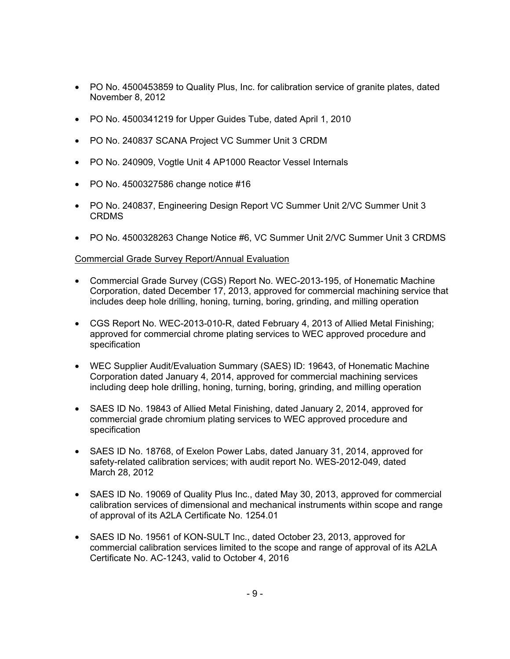- PO No. 4500453859 to Quality Plus, Inc. for calibration service of granite plates, dated November 8, 2012
- PO No. 4500341219 for Upper Guides Tube, dated April 1, 2010
- PO No. 240837 SCANA Project VC Summer Unit 3 CRDM
- PO No. 240909, Vogtle Unit 4 AP1000 Reactor Vessel Internals
- PO No. 4500327586 change notice #16
- PO No. 240837, Engineering Design Report VC Summer Unit 2/VC Summer Unit 3 CRDMS
- PO No. 4500328263 Change Notice #6, VC Summer Unit 2/VC Summer Unit 3 CRDMS

### Commercial Grade Survey Report/Annual Evaluation

- Commercial Grade Survey (CGS) Report No. WEC-2013-195, of Honematic Machine Corporation, dated December 17, 2013, approved for commercial machining service that includes deep hole drilling, honing, turning, boring, grinding, and milling operation
- CGS Report No. WEC-2013-010-R, dated February 4, 2013 of Allied Metal Finishing; approved for commercial chrome plating services to WEC approved procedure and specification
- WEC Supplier Audit/Evaluation Summary (SAES) ID: 19643, of Honematic Machine Corporation dated January 4, 2014, approved for commercial machining services including deep hole drilling, honing, turning, boring, grinding, and milling operation
- SAES ID No. 19843 of Allied Metal Finishing, dated January 2, 2014, approved for commercial grade chromium plating services to WEC approved procedure and specification
- SAES ID No. 18768, of Exelon Power Labs, dated January 31, 2014, approved for safety-related calibration services; with audit report No. WES-2012-049, dated March 28, 2012
- SAES ID No. 19069 of Quality Plus Inc., dated May 30, 2013, approved for commercial calibration services of dimensional and mechanical instruments within scope and range of approval of its A2LA Certificate No. 1254.01
- SAES ID No. 19561 of KON-SULT Inc., dated October 23, 2013, approved for commercial calibration services limited to the scope and range of approval of its A2LA Certificate No. AC-1243, valid to October 4, 2016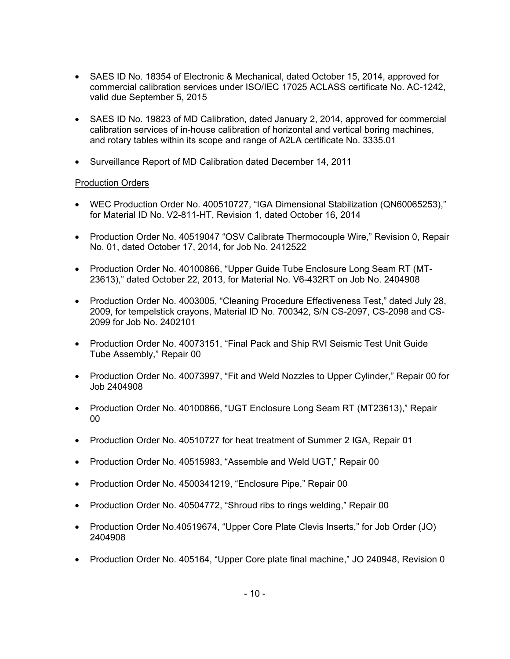- SAES ID No. 18354 of Electronic & Mechanical, dated October 15, 2014, approved for commercial calibration services under ISO/IEC 17025 ACLASS certificate No. AC-1242, valid due September 5, 2015
- SAES ID No. 19823 of MD Calibration, dated January 2, 2014, approved for commercial calibration services of in-house calibration of horizontal and vertical boring machines, and rotary tables within its scope and range of A2LA certificate No. 3335.01
- Surveillance Report of MD Calibration dated December 14, 2011

### Production Orders

- WEC Production Order No. 400510727, "IGA Dimensional Stabilization (QN60065253)," for Material ID No. V2-811-HT, Revision 1, dated October 16, 2014
- Production Order No. 40519047 "OSV Calibrate Thermocouple Wire," Revision 0, Repair No. 01, dated October 17, 2014, for Job No. 2412522
- Production Order No. 40100866, "Upper Guide Tube Enclosure Long Seam RT (MT-23613)," dated October 22, 2013, for Material No. V6-432RT on Job No. 2404908
- Production Order No. 4003005, "Cleaning Procedure Effectiveness Test," dated July 28, 2009, for tempelstick crayons, Material ID No. 700342, S/N CS-2097, CS-2098 and CS-2099 for Job No. 2402101
- Production Order No. 40073151, "Final Pack and Ship RVI Seismic Test Unit Guide Tube Assembly," Repair 00
- Production Order No. 40073997, "Fit and Weld Nozzles to Upper Cylinder," Repair 00 for Job 2404908
- Production Order No. 40100866, "UGT Enclosure Long Seam RT (MT23613)," Repair 00
- Production Order No. 40510727 for heat treatment of Summer 2 IGA, Repair 01
- Production Order No. 40515983, "Assemble and Weld UGT," Repair 00
- Production Order No. 4500341219, "Enclosure Pipe," Repair 00
- Production Order No. 40504772, "Shroud ribs to rings welding," Repair 00
- Production Order No.40519674, "Upper Core Plate Clevis Inserts," for Job Order (JO) 2404908
- Production Order No. 405164, "Upper Core plate final machine," JO 240948, Revision 0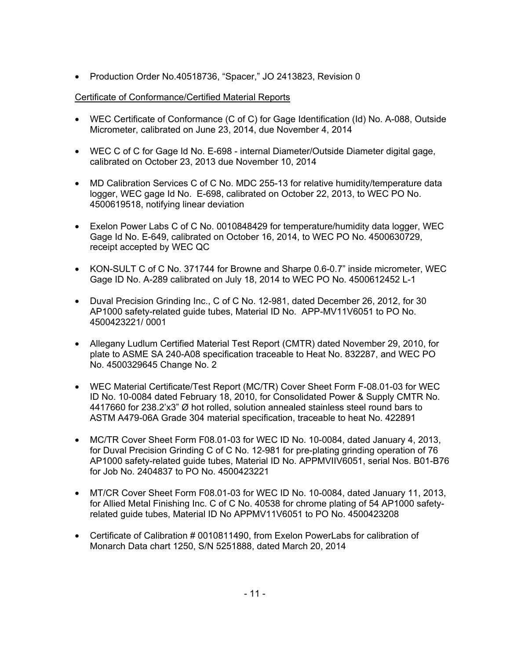• Production Order No.40518736, "Spacer," JO 2413823, Revision 0

### Certificate of Conformance/Certified Material Reports

- WEC Certificate of Conformance (C of C) for Gage Identification (Id) No. A-088, Outside Micrometer, calibrated on June 23, 2014, due November 4, 2014
- WEC C of C for Gage Id No. E-698 internal Diameter/Outside Diameter digital gage, calibrated on October 23, 2013 due November 10, 2014
- MD Calibration Services C of C No. MDC 255-13 for relative humidity/temperature data logger, WEC gage Id No. E-698, calibrated on October 22, 2013, to WEC PO No. 4500619518, notifying linear deviation
- Exelon Power Labs C of C No. 0010848429 for temperature/humidity data logger, WEC Gage Id No. E-649, calibrated on October 16, 2014, to WEC PO No. 4500630729, receipt accepted by WEC QC
- KON-SULT C of C No. 371744 for Browne and Sharpe 0.6-0.7" inside micrometer, WEC Gage ID No. A-289 calibrated on July 18, 2014 to WEC PO No. 4500612452 L-1
- Duval Precision Grinding Inc., C of C No. 12-981, dated December 26, 2012, for 30 AP1000 safety-related guide tubes, Material ID No. APP-MV11V6051 to PO No. 4500423221/ 0001
- Allegany Ludlum Certified Material Test Report (CMTR) dated November 29, 2010, for plate to ASME SA 240-A08 specification traceable to Heat No. 832287, and WEC PO No. 4500329645 Change No. 2
- WEC Material Certificate/Test Report (MC/TR) Cover Sheet Form F-08.01-03 for WEC ID No. 10-0084 dated February 18, 2010, for Consolidated Power & Supply CMTR No. 4417660 for 238.2'x3" Ø hot rolled, solution annealed stainless steel round bars to ASTM A479-06A Grade 304 material specification, traceable to heat No. 422891
- MC/TR Cover Sheet Form F08.01-03 for WEC ID No. 10-0084, dated January 4, 2013, for Duval Precision Grinding C of C No. 12-981 for pre-plating grinding operation of 76 AP1000 safety-related guide tubes, Material ID No. APPMVIIV6051, serial Nos. B01-B76 for Job No. 2404837 to PO No. 4500423221
- MT/CR Cover Sheet Form F08.01-03 for WEC ID No. 10-0084, dated January 11, 2013, for Allied Metal Finishing Inc. C of C No. 40538 for chrome plating of 54 AP1000 safetyrelated guide tubes, Material ID No APPMV11V6051 to PO No. 4500423208
- Certificate of Calibration # 0010811490, from Exelon PowerLabs for calibration of Monarch Data chart 1250, S/N 5251888, dated March 20, 2014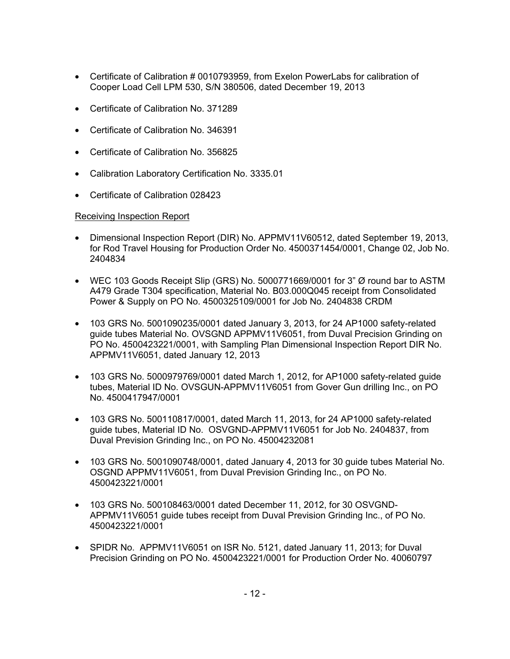- Certificate of Calibration # 0010793959, from Exelon PowerLabs for calibration of Cooper Load Cell LPM 530, S/N 380506, dated December 19, 2013
- Certificate of Calibration No. 371289
- Certificate of Calibration No. 346391
- Certificate of Calibration No. 356825
- Calibration Laboratory Certification No. 3335.01
- Certificate of Calibration 028423

# Receiving Inspection Report

- Dimensional Inspection Report (DIR) No. APPMV11V60512, dated September 19, 2013, for Rod Travel Housing for Production Order No. 4500371454/0001, Change 02, Job No. 2404834
- WEC 103 Goods Receipt Slip (GRS) No. 5000771669/0001 for 3" Ø round bar to ASTM A479 Grade T304 specification, Material No. B03.000Q045 receipt from Consolidated Power & Supply on PO No. 4500325109/0001 for Job No. 2404838 CRDM
- 103 GRS No. 5001090235/0001 dated January 3, 2013, for 24 AP1000 safety-related guide tubes Material No. OVSGND APPMV11V6051, from Duval Precision Grinding on PO No. 4500423221/0001, with Sampling Plan Dimensional Inspection Report DIR No. APPMV11V6051, dated January 12, 2013
- 103 GRS No. 5000979769/0001 dated March 1, 2012, for AP1000 safety-related guide tubes, Material ID No. OVSGUN-APPMV11V6051 from Gover Gun drilling Inc., on PO No. 4500417947/0001
- 103 GRS No. 500110817/0001, dated March 11, 2013, for 24 AP1000 safety-related guide tubes, Material ID No. OSVGND-APPMV11V6051 for Job No. 2404837, from Duval Prevision Grinding Inc., on PO No. 45004232081
- 103 GRS No. 5001090748/0001, dated January 4, 2013 for 30 guide tubes Material No. OSGND APPMV11V6051, from Duval Prevision Grinding Inc., on PO No. 4500423221/0001
- 103 GRS No. 500108463/0001 dated December 11, 2012, for 30 OSVGND-APPMV11V6051 guide tubes receipt from Duval Prevision Grinding Inc., of PO No. 4500423221/0001
- SPIDR No. APPMV11V6051 on ISR No. 5121, dated January 11, 2013; for Duval Precision Grinding on PO No. 4500423221/0001 for Production Order No. 40060797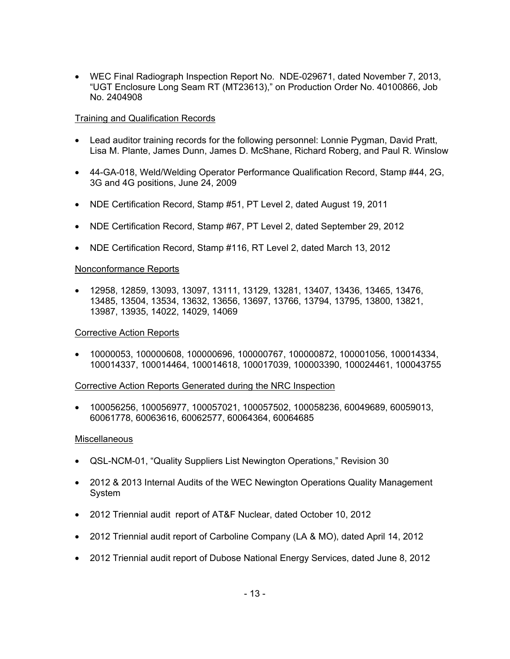• WEC Final Radiograph Inspection Report No. NDE-029671, dated November 7, 2013, "UGT Enclosure Long Seam RT (MT23613)," on Production Order No. 40100866, Job No. 2404908

### Training and Qualification Records

- Lead auditor training records for the following personnel: Lonnie Pygman, David Pratt, Lisa M. Plante, James Dunn, James D. McShane, Richard Roberg, and Paul R. Winslow
- 44-GA-018, Weld/Welding Operator Performance Qualification Record, Stamp #44, 2G, 3G and 4G positions, June 24, 2009
- NDE Certification Record, Stamp #51, PT Level 2, dated August 19, 2011
- NDE Certification Record, Stamp #67, PT Level 2, dated September 29, 2012
- NDE Certification Record, Stamp #116, RT Level 2, dated March 13, 2012

#### Nonconformance Reports

• 12958, 12859, 13093, 13097, 13111, 13129, 13281, 13407, 13436, 13465, 13476, 13485, 13504, 13534, 13632, 13656, 13697, 13766, 13794, 13795, 13800, 13821, 13987, 13935, 14022, 14029, 14069

#### Corrective Action Reports

• 10000053, 100000608, 100000696, 100000767, 100000872, 100001056, 100014334, 100014337, 100014464, 100014618, 100017039, 100003390, 100024461, 100043755

#### Corrective Action Reports Generated during the NRC Inspection

• 100056256, 100056977, 100057021, 100057502, 100058236, 60049689, 60059013, 60061778, 60063616, 60062577, 60064364, 60064685

#### **Miscellaneous**

- QSL-NCM-01, "Quality Suppliers List Newington Operations," Revision 30
- 2012 & 2013 Internal Audits of the WEC Newington Operations Quality Management System
- 2012 Triennial audit report of AT&F Nuclear, dated October 10, 2012
- 2012 Triennial audit report of Carboline Company (LA & MO), dated April 14, 2012
- 2012 Triennial audit report of Dubose National Energy Services, dated June 8, 2012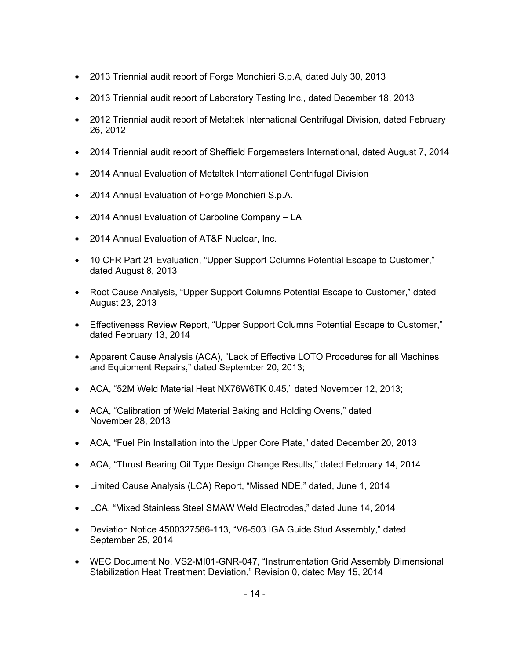- 2013 Triennial audit report of Forge Monchieri S.p.A, dated July 30, 2013
- 2013 Triennial audit report of Laboratory Testing Inc., dated December 18, 2013
- 2012 Triennial audit report of Metaltek International Centrifugal Division, dated February 26, 2012
- 2014 Triennial audit report of Sheffield Forgemasters International, dated August 7, 2014
- 2014 Annual Evaluation of Metaltek International Centrifugal Division
- 2014 Annual Evaluation of Forge Monchieri S.p.A.
- 2014 Annual Evaluation of Carboline Company LA
- 2014 Annual Evaluation of AT&F Nuclear, Inc.
- 10 CFR Part 21 Evaluation, "Upper Support Columns Potential Escape to Customer," dated August 8, 2013
- Root Cause Analysis, "Upper Support Columns Potential Escape to Customer," dated August 23, 2013
- Effectiveness Review Report, "Upper Support Columns Potential Escape to Customer," dated February 13, 2014
- Apparent Cause Analysis (ACA), "Lack of Effective LOTO Procedures for all Machines and Equipment Repairs," dated September 20, 2013;
- ACA, "52M Weld Material Heat NX76W6TK 0.45," dated November 12, 2013;
- ACA, "Calibration of Weld Material Baking and Holding Ovens," dated November 28, 2013
- ACA, "Fuel Pin Installation into the Upper Core Plate," dated December 20, 2013
- ACA, "Thrust Bearing Oil Type Design Change Results," dated February 14, 2014
- Limited Cause Analysis (LCA) Report, "Missed NDE," dated, June 1, 2014
- LCA, "Mixed Stainless Steel SMAW Weld Electrodes," dated June 14, 2014
- Deviation Notice 4500327586-113, "V6-503 IGA Guide Stud Assembly," dated September 25, 2014
- WEC Document No. VS2-MI01-GNR-047, "Instrumentation Grid Assembly Dimensional Stabilization Heat Treatment Deviation," Revision 0, dated May 15, 2014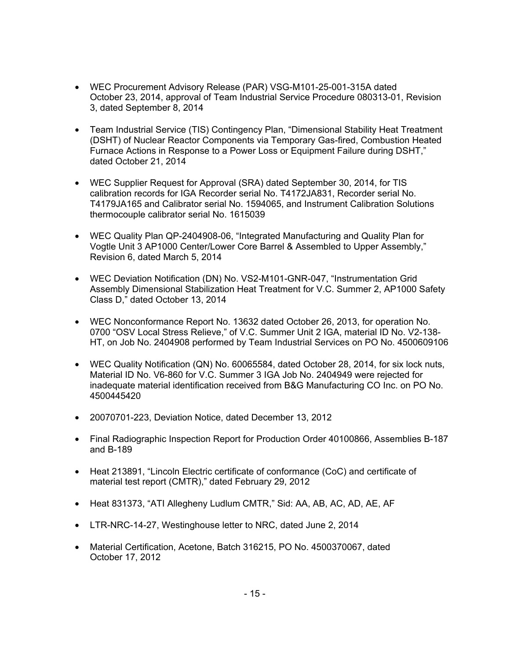- WEC Procurement Advisory Release (PAR) VSG-M101-25-001-315A dated October 23, 2014, approval of Team Industrial Service Procedure 080313-01, Revision 3, dated September 8, 2014
- Team Industrial Service (TIS) Contingency Plan, "Dimensional Stability Heat Treatment (DSHT) of Nuclear Reactor Components via Temporary Gas-fired, Combustion Heated Furnace Actions in Response to a Power Loss or Equipment Failure during DSHT," dated October 21, 2014
- WEC Supplier Request for Approval (SRA) dated September 30, 2014, for TIS calibration records for IGA Recorder serial No. T4172JA831, Recorder serial No. T4179JA165 and Calibrator serial No. 1594065, and Instrument Calibration Solutions thermocouple calibrator serial No. 1615039
- WEC Quality Plan QP-2404908-06, "Integrated Manufacturing and Quality Plan for Vogtle Unit 3 AP1000 Center/Lower Core Barrel & Assembled to Upper Assembly," Revision 6, dated March 5, 2014
- WEC Deviation Notification (DN) No. VS2-M101-GNR-047, "Instrumentation Grid Assembly Dimensional Stabilization Heat Treatment for V.C. Summer 2, AP1000 Safety Class D," dated October 13, 2014
- WEC Nonconformance Report No. 13632 dated October 26, 2013, for operation No. 0700 "OSV Local Stress Relieve," of V.C. Summer Unit 2 IGA, material ID No. V2-138- HT, on Job No. 2404908 performed by Team Industrial Services on PO No. 4500609106
- WEC Quality Notification (QN) No. 60065584, dated October 28, 2014, for six lock nuts, Material ID No. V6-860 for V.C. Summer 3 IGA Job No. 2404949 were rejected for inadequate material identification received from B&G Manufacturing CO Inc. on PO No. 4500445420
- 20070701-223, Deviation Notice, dated December 13, 2012
- Final Radiographic Inspection Report for Production Order 40100866, Assemblies B-187 and B-189
- Heat 213891, "Lincoln Electric certificate of conformance (CoC) and certificate of material test report (CMTR)," dated February 29, 2012
- Heat 831373, "ATI Allegheny Ludlum CMTR," Sid: AA, AB, AC, AD, AE, AF
- LTR-NRC-14-27, Westinghouse letter to NRC, dated June 2, 2014
- Material Certification, Acetone, Batch 316215, PO No. 4500370067, dated October 17, 2012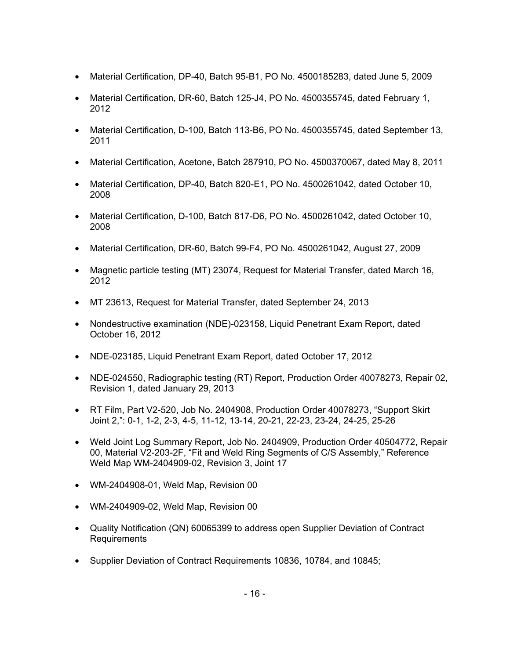- Material Certification, DP-40, Batch 95-B1, PO No. 4500185283, dated June 5, 2009
- Material Certification, DR-60, Batch 125-J4, PO No. 4500355745, dated February 1, 2012
- Material Certification, D-100, Batch 113-B6, PO No. 4500355745, dated September 13, 2011
- Material Certification, Acetone, Batch 287910, PO No. 4500370067, dated May 8, 2011
- Material Certification, DP-40, Batch 820-E1, PO No. 4500261042, dated October 10, 2008
- Material Certification, D-100, Batch 817-D6, PO No. 4500261042, dated October 10, 2008
- Material Certification, DR-60, Batch 99-F4, PO No. 4500261042, August 27, 2009
- Magnetic particle testing (MT) 23074, Request for Material Transfer, dated March 16, 2012
- MT 23613, Request for Material Transfer, dated September 24, 2013
- Nondestructive examination (NDE)-023158, Liquid Penetrant Exam Report, dated October 16, 2012
- NDE-023185, Liquid Penetrant Exam Report, dated October 17, 2012
- NDE-024550, Radiographic testing (RT) Report, Production Order 40078273, Repair 02, Revision 1, dated January 29, 2013
- RT Film, Part V2-520, Job No. 2404908, Production Order 40078273, "Support Skirt Joint 2,": 0-1, 1-2, 2-3, 4-5, 11-12, 13-14, 20-21, 22-23, 23-24, 24-25, 25-26
- Weld Joint Log Summary Report, Job No. 2404909, Production Order 40504772, Repair 00, Material V2-203-2F, "Fit and Weld Ring Segments of C/S Assembly," Reference Weld Map WM-2404909-02, Revision 3, Joint 17
- WM-2404908-01, Weld Map, Revision 00
- WM-2404909-02, Weld Map, Revision 00
- Quality Notification (QN) 60065399 to address open Supplier Deviation of Contract Requirements
- Supplier Deviation of Contract Requirements 10836, 10784, and 10845;